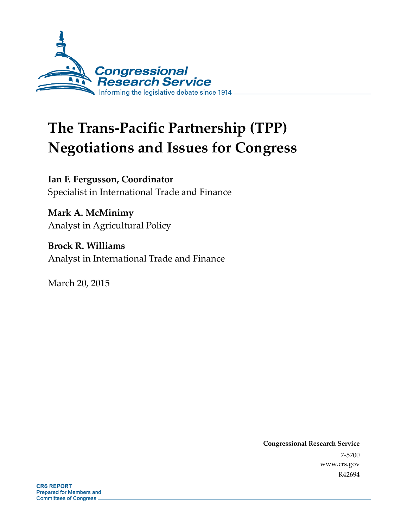

# **The Trans-Pacific Partnership (TPP) Negotiations and Issues for Congress**

**Ian F. Fergusson, Coordinator**  Specialist in International Trade and Finance

**Mark A. McMinimy**  Analyst in Agricultural Policy

**Brock R. Williams**  Analyst in International Trade and Finance

March 20, 2015

**Congressional Research Service**  7-5700 www.crs.gov R42694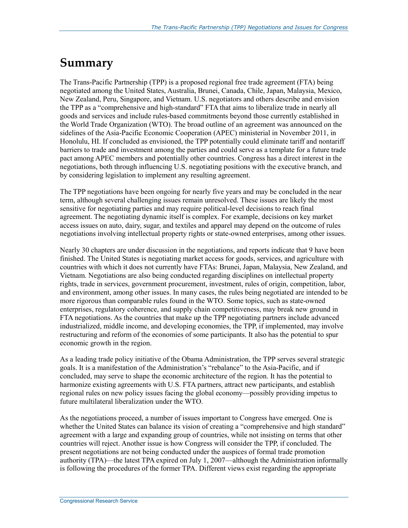# **Summary**

The Trans-Pacific Partnership (TPP) is a proposed regional free trade agreement (FTA) being negotiated among the United States, Australia, Brunei, Canada, Chile, Japan, Malaysia, Mexico, New Zealand, Peru, Singapore, and Vietnam. U.S. negotiators and others describe and envision the TPP as a "comprehensive and high-standard" FTA that aims to liberalize trade in nearly all goods and services and include rules-based commitments beyond those currently established in the World Trade Organization (WTO). The broad outline of an agreement was announced on the sidelines of the Asia-Pacific Economic Cooperation (APEC) ministerial in November 2011, in Honolulu, HI. If concluded as envisioned, the TPP potentially could eliminate tariff and nontariff barriers to trade and investment among the parties and could serve as a template for a future trade pact among APEC members and potentially other countries. Congress has a direct interest in the negotiations, both through influencing U.S. negotiating positions with the executive branch, and by considering legislation to implement any resulting agreement.

The TPP negotiations have been ongoing for nearly five years and may be concluded in the near term, although several challenging issues remain unresolved. These issues are likely the most sensitive for negotiating parties and may require political-level decisions to reach final agreement. The negotiating dynamic itself is complex. For example, decisions on key market access issues on auto, dairy, sugar, and textiles and apparel may depend on the outcome of rules negotiations involving intellectual property rights or state-owned enterprises, among other issues.

Nearly 30 chapters are under discussion in the negotiations, and reports indicate that 9 have been finished. The United States is negotiating market access for goods, services, and agriculture with countries with which it does not currently have FTAs: Brunei, Japan, Malaysia, New Zealand, and Vietnam. Negotiations are also being conducted regarding disciplines on intellectual property rights, trade in services, government procurement, investment, rules of origin, competition, labor, and environment, among other issues. In many cases, the rules being negotiated are intended to be more rigorous than comparable rules found in the WTO. Some topics, such as state-owned enterprises, regulatory coherence, and supply chain competitiveness, may break new ground in FTA negotiations. As the countries that make up the TPP negotiating partners include advanced industrialized, middle income, and developing economies, the TPP, if implemented, may involve restructuring and reform of the economies of some participants. It also has the potential to spur economic growth in the region.

As a leading trade policy initiative of the Obama Administration, the TPP serves several strategic goals. It is a manifestation of the Administration's "rebalance" to the Asia-Pacific, and if concluded, may serve to shape the economic architecture of the region. It has the potential to harmonize existing agreements with U.S. FTA partners, attract new participants, and establish regional rules on new policy issues facing the global economy—possibly providing impetus to future multilateral liberalization under the WTO.

As the negotiations proceed, a number of issues important to Congress have emerged. One is whether the United States can balance its vision of creating a "comprehensive and high standard" agreement with a large and expanding group of countries, while not insisting on terms that other countries will reject. Another issue is how Congress will consider the TPP, if concluded. The present negotiations are not being conducted under the auspices of formal trade promotion authority (TPA)—the latest TPA expired on July 1, 2007—although the Administration informally is following the procedures of the former TPA. Different views exist regarding the appropriate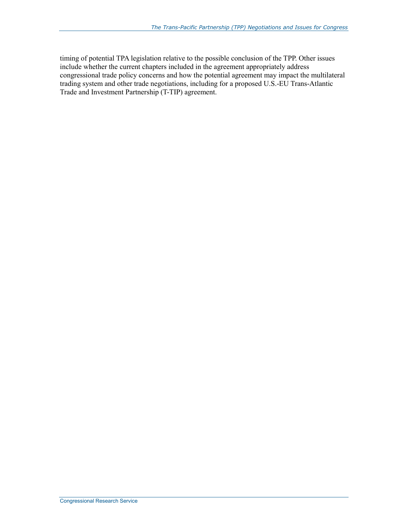timing of potential TPA legislation relative to the possible conclusion of the TPP. Other issues include whether the current chapters included in the agreement appropriately address congressional trade policy concerns and how the potential agreement may impact the multilateral trading system and other trade negotiations, including for a proposed U.S.-EU Trans-Atlantic Trade and Investment Partnership (T-TIP) agreement.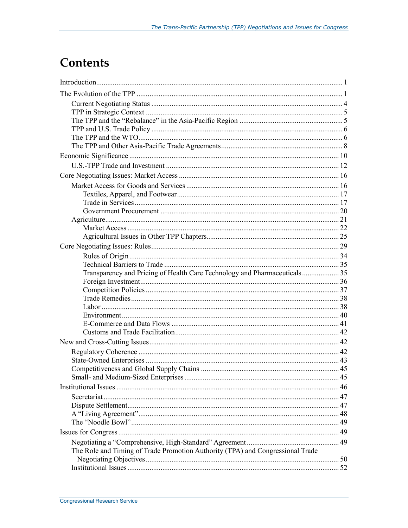# **Contents**

| Transparency and Pricing of Health Care Technology and Pharmaceuticals35       |  |
|--------------------------------------------------------------------------------|--|
|                                                                                |  |
|                                                                                |  |
|                                                                                |  |
|                                                                                |  |
|                                                                                |  |
|                                                                                |  |
|                                                                                |  |
|                                                                                |  |
|                                                                                |  |
|                                                                                |  |
|                                                                                |  |
|                                                                                |  |
|                                                                                |  |
|                                                                                |  |
|                                                                                |  |
|                                                                                |  |
|                                                                                |  |
|                                                                                |  |
| The Role and Timing of Trade Promotion Authority (TPA) and Congressional Trade |  |
|                                                                                |  |
|                                                                                |  |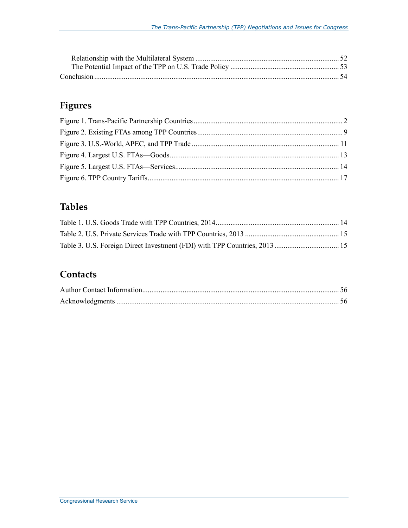## **Figures**

## **Tables**

## **Contacts**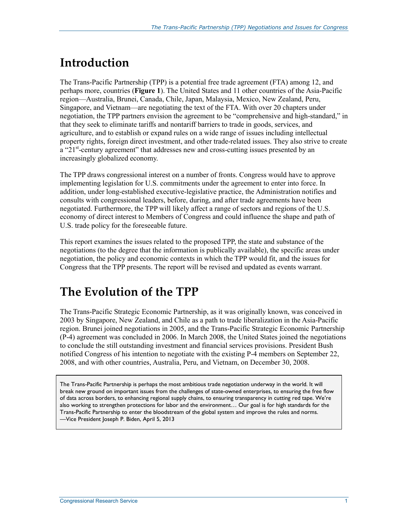# **Introduction**

The Trans-Pacific Partnership (TPP) is a potential free trade agreement (FTA) among 12, and perhaps more, countries (**Figure 1**). The United States and 11 other countries of the Asia-Pacific region—Australia, Brunei, Canada, Chile, Japan, Malaysia, Mexico, New Zealand, Peru, Singapore, and Vietnam—are negotiating the text of the FTA. With over 20 chapters under negotiation, the TPP partners envision the agreement to be "comprehensive and high-standard," in that they seek to eliminate tariffs and nontariff barriers to trade in goods, services, and agriculture, and to establish or expand rules on a wide range of issues including intellectual property rights, foreign direct investment, and other trade-related issues. They also strive to create a "21<sup>st</sup>-century agreement" that addresses new and cross-cutting issues presented by an increasingly globalized economy.

The TPP draws congressional interest on a number of fronts. Congress would have to approve implementing legislation for U.S. commitments under the agreement to enter into force. In addition, under long-established executive-legislative practice, the Administration notifies and consults with congressional leaders, before, during, and after trade agreements have been negotiated. Furthermore, the TPP will likely affect a range of sectors and regions of the U.S. economy of direct interest to Members of Congress and could influence the shape and path of U.S. trade policy for the foreseeable future.

This report examines the issues related to the proposed TPP, the state and substance of the negotiations (to the degree that the information is publically available), the specific areas under negotiation, the policy and economic contexts in which the TPP would fit, and the issues for Congress that the TPP presents. The report will be revised and updated as events warrant.

# **The Evolution of the TPP**

The Trans-Pacific Strategic Economic Partnership, as it was originally known, was conceived in 2003 by Singapore, New Zealand, and Chile as a path to trade liberalization in the Asia-Pacific region. Brunei joined negotiations in 2005, and the Trans-Pacific Strategic Economic Partnership (P-4) agreement was concluded in 2006. In March 2008, the United States joined the negotiations to conclude the still outstanding investment and financial services provisions. President Bush notified Congress of his intention to negotiate with the existing P-4 members on September 22, 2008, and with other countries, Australia, Peru, and Vietnam, on December 30, 2008.

The Trans-Pacific Partnership is perhaps the most ambitious trade negotiation underway in the world. It will break new ground on important issues from the challenges of state-owned enterprises, to ensuring the free flow of data across borders, to enhancing regional supply chains, to ensuring transparency in cutting red tape. We're also working to strengthen protections for labor and the environment… Our goal is for high standards for the Trans-Pacific Partnership to enter the bloodstream of the global system and improve the rules and norms. —Vice President Joseph P. Biden, April 5, 2013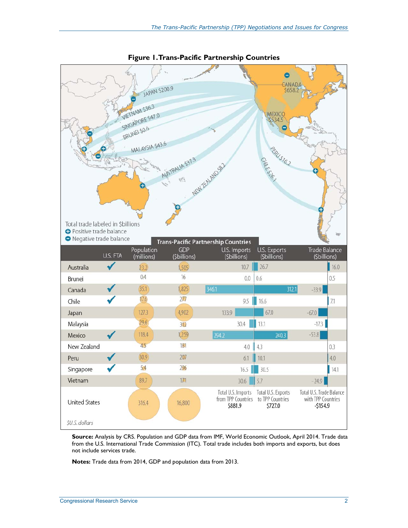

**Figure 1. Trans-Pacific Partnership Countries** 

**Source:** Analysis by CRS. Population and GDP data from IMF, World Economic Outlook, April 2014. Trade data from the U.S. International Trade Commission (ITC). Total trade includes both imports and exports, but does not include services trade.

**Notes:** Trade data from 2014, GDP and population data from 2013.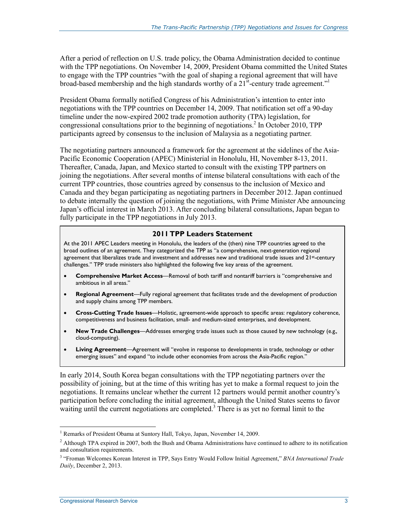After a period of reflection on U.S. trade policy, the Obama Administration decided to continue with the TPP negotiations. On November 14, 2009, President Obama committed the United States to engage with the TPP countries "with the goal of shaping a regional agreement that will have broad-based membership and the high standards worthy of a  $21^{st}$ -century trade agreement."

President Obama formally notified Congress of his Administration's intention to enter into negotiations with the TPP countries on December 14, 2009. That notification set off a 90-day timeline under the now-expired 2002 trade promotion authority (TPA) legislation, for congressional consultations prior to the beginning of negotiations.<sup>2</sup> In October 2010, TPP participants agreed by consensus to the inclusion of Malaysia as a negotiating partner.

The negotiating partners announced a framework for the agreement at the sidelines of the Asia-Pacific Economic Cooperation (APEC) Ministerial in Honolulu, HI, November 8-13, 2011. Thereafter, Canada, Japan, and Mexico started to consult with the existing TPP partners on joining the negotiations. After several months of intense bilateral consultations with each of the current TPP countries, those countries agreed by consensus to the inclusion of Mexico and Canada and they began participating as negotiating partners in December 2012. Japan continued to debate internally the question of joining the negotiations, with Prime Minister Abe announcing Japan's official interest in March 2013. After concluding bilateral consultations, Japan began to fully participate in the TPP negotiations in July 2013.

#### **2011 TPP Leaders Statement**

At the 2011 APEC Leaders meeting in Honolulu, the leaders of the (then) nine TPP countries agreed to the broad outlines of an agreement. They categorized the TPP as "a comprehensive, next-generation regional agreement that liberalizes trade and investment and addresses new and traditional trade issues and 21st-century challenges." TPP trade ministers also highlighted the following five key areas of the agreement.

- **Comprehensive Market Access**—Removal of both tariff and nontariff barriers is "comprehensive and ambitious in all areas."
- **Regional Agreement**—Fully regional agreement that facilitates trade and the development of production and supply chains among TPP members.
- **Cross-Cutting Trade Issues**—Holistic, agreement-wide approach to specific areas: regulatory coherence, competitiveness and business facilitation, small- and medium-sized enterprises, and development.
- **New Trade Challenges**—Addresses emerging trade issues such as those caused by new technology (e.g.*,* cloud-computing).
- **Living Agreement**—Agreement will "evolve in response to developments in trade, technology or other emerging issues" and expand "to include other economies from across the Asia-Pacific region."

In early 2014, South Korea began consultations with the TPP negotiating partners over the possibility of joining, but at the time of this writing has yet to make a formal request to join the negotiations. It remains unclear whether the current 12 partners would permit another country's participation before concluding the initial agreement, although the United States seems to favor waiting until the current negotiations are completed.<sup>3</sup> There is as yet no formal limit to the

<sup>&</sup>lt;sup>1</sup> Remarks of President Obama at Suntory Hall, Tokyo, Japan, November 14, 2009.

<sup>&</sup>lt;sup>2</sup> Although TPA expired in 2007, both the Bush and Obama Administrations have continued to adhere to its notification and consultation requirements.

<sup>3</sup> "Froman Welcomes Korean Interest in TPP, Says Entry Would Follow Initial Agreement," *BNA International Trade Daily*, December 2, 2013.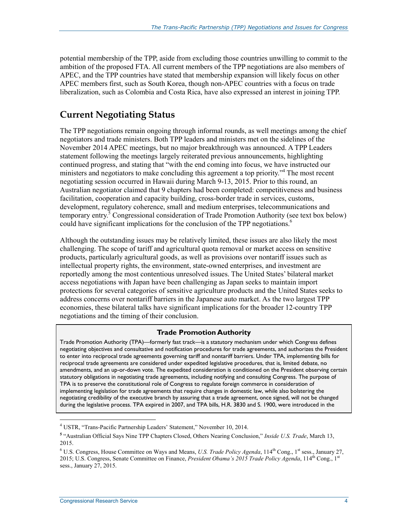potential membership of the TPP, aside from excluding those countries unwilling to commit to the ambition of the proposed FTA. All current members of the TPP negotiations are also members of APEC, and the TPP countries have stated that membership expansion will likely focus on other APEC members first, such as South Korea, though non-APEC countries with a focus on trade liberalization, such as Colombia and Costa Rica, have also expressed an interest in joining TPP.

## **Current Negotiating Status**

The TPP negotiations remain ongoing through informal rounds, as well meetings among the chief negotiators and trade ministers. Both TPP leaders and ministers met on the sidelines of the November 2014 APEC meetings, but no major breakthrough was announced. A TPP Leaders statement following the meetings largely reiterated previous announcements, highlighting continued progress, and stating that "with the end coming into focus, we have instructed our ministers and negotiators to make concluding this agreement a top priority."<sup>4</sup> The most recent negotiating session occurred in Hawaii during March 9-13, 2015. Prior to this round, an Australian negotiator claimed that 9 chapters had been completed: competitiveness and business facilitation, cooperation and capacity building, cross-border trade in services, customs, development, regulatory coherence, small and medium enterprises, telecommunications and temporary entry.<sup>5</sup> Congressional consideration of Trade Promotion Authority (see text box below) could have significant implications for the conclusion of the TPP negotiations.<sup>6</sup>

Although the outstanding issues may be relatively limited, these issues are also likely the most challenging. The scope of tariff and agricultural quota removal or market access on sensitive products, particularly agricultural goods, as well as provisions over nontariff issues such as intellectual property rights, the environment, state-owned enterprises, and investment are reportedly among the most contentious unresolved issues. The United States' bilateral market access negotiations with Japan have been challenging as Japan seeks to maintain import protections for several categories of sensitive agriculture products and the United States seeks to address concerns over nontariff barriers in the Japanese auto market. As the two largest TPP economies, these bilateral talks have significant implications for the broader 12-country TPP negotiations and the timing of their conclusion.

#### **Trade Promotion Authority**

Trade Promotion Authority (TPA)—formerly fast track—is a statutory mechanism under which Congress defines negotiating objectives and consultative and notification procedures for trade agreements, and authorizes the President to enter into reciprocal trade agreements governing tariff and nontariff barriers. Under TPA, implementing bills for reciprocal trade agreements are considered under expedited legislative procedures, that is, limited debate, no amendments, and an up-or-down vote. The expedited consideration is conditioned on the President observing certain statutory obligations in negotiating trade agreements, including notifying and consulting Congress. The purpose of TPA is to preserve the constitutional role of Congress to regulate foreign commerce in consideration of implementing legislation for trade agreements that require changes in domestic law, while also bolstering the negotiating credibility of the executive branch by assuring that a trade agreement, once signed, will not be changed during the legislative process. TPA expired in 2007, and TPA bills, H.R. 3830 and S. 1900, were introduced in the

<sup>4</sup> USTR, "Trans-Pacific Partnership Leaders' Statement," November 10, 2014.

**<sup>5</sup>** "Australian Official Says Nine TPP Chapters Closed, Others Nearing Conclusion," *Inside U.S. Trade*, March 13, 2015.

<sup>&</sup>lt;sup>6</sup> U.S. Congress, House Committee on Ways and Means, *U.S. Trade Policy Agenda*, 114<sup>th</sup> Cong., 1<sup>st</sup> sess., January 27, 2015; U.S. Congress, Senate Committee on Finance, *President Obama's 2015 Trade Policy Agenda*, 114<sup>th</sup> Cong., 1<sup>st</sup> sess., January 27, 2015.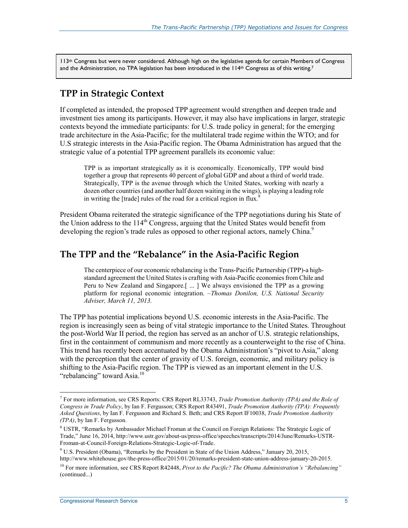113<sup>th</sup> Congress but were never considered. Although high on the legislative agenda for certain Members of Congress and the Administration, no TPA legislation has been introduced in the 114<sup>th</sup> Congress as of this writing.<sup>7</sup>

### **TPP in Strategic Context**

If completed as intended, the proposed TPP agreement would strengthen and deepen trade and investment ties among its participants. However, it may also have implications in larger, strategic contexts beyond the immediate participants: for U.S. trade policy in general; for the emerging trade architecture in the Asia-Pacific; for the multilateral trade regime within the WTO; and for U.S strategic interests in the Asia-Pacific region. The Obama Administration has argued that the strategic value of a potential TPP agreement parallels its economic value:

TPP is as important strategically as it is economically. Economically, TPP would bind together a group that represents 40 percent of global GDP and about a third of world trade. Strategically, TPP is the avenue through which the United States, working with nearly a dozen other countries (and another half dozen waiting in the wings), is playing a leading role in writing the  $[trade]$  rules of the road for a critical region in flux.<sup>8</sup>

President Obama reiterated the strategic significance of the TPP negotiations during his State of the Union address to the  $114<sup>th</sup>$  Congress, arguing that the United States would benefit from developing the region's trade rules as opposed to other regional actors, namely China.<sup>9</sup>

### **The TPP and the "Rebalance" in the Asia-Pacific Region**

The centerpiece of our economic rebalancing is the Trans-Pacific Partnership (TPP)-a highstandard agreement the United States is crafting with Asia-Pacific economies from Chile and Peru to New Zealand and Singapore.[ ... ] We always envisioned the TPP as a growing platform for regional economic integration. *–Thomas Donilon, U.S. National Security Adviser, March 11, 2013.*

The TPP has potential implications beyond U.S. economic interests in the Asia-Pacific. The region is increasingly seen as being of vital strategic importance to the United States. Throughout the post-World War II period, the region has served as an anchor of U.S. strategic relationships, first in the containment of communism and more recently as a counterweight to the rise of China. This trend has recently been accentuated by the Obama Administration's "pivot to Asia," along with the perception that the center of gravity of U.S. foreign, economic, and military policy is shifting to the Asia-Pacific region. The TPP is viewed as an important element in the U.S. "rebalancing" toward Asia.<sup>10</sup>

<sup>7</sup> For more information, see CRS Reports: CRS Report RL33743, *Trade Promotion Authority (TPA) and the Role of Congress in Trade Policy*, by Ian F. Fergusson; CRS Report R43491, *Trade Promotion Authority (TPA): Frequently Asked Questions*, by Ian F. Fergusson and Richard S. Beth; and CRS Report IF10038, *Trade Promotion Authority (TPA)*, by Ian F. Fergusson.

<sup>&</sup>lt;sup>8</sup> USTR, "Remarks by Ambassador Michael Froman at the Council on Foreign Relations: The Strategic Logic of Trade," June 16, 2014, http://www.ustr.gov/about-us/press-office/speeches/transcripts/2014/June/Remarks-USTR-Froman-at-Council-Foreign-Relations-Strategic-Logic-of-Trade.

<sup>&</sup>lt;sup>9</sup> U.S. President (Obama), "Remarks by the President in State of the Union Address," January 20, 2015, http://www.whitehouse.gov/the-press-office/2015/01/20/remarks-president-state-union-address-january-20-2015.

<sup>10</sup> For more information, see CRS Report R42448, *Pivot to the Pacific? The Obama Administration's "Rebalancing"*  (continued...)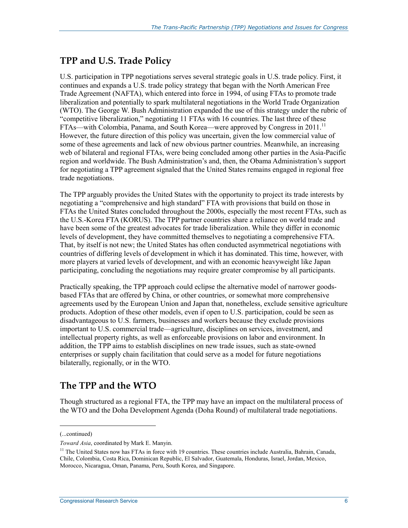## **TPP and U.S. Trade Policy**

U.S. participation in TPP negotiations serves several strategic goals in U.S. trade policy. First, it continues and expands a U.S. trade policy strategy that began with the North American Free Trade Agreement (NAFTA), which entered into force in 1994, of using FTAs to promote trade liberalization and potentially to spark multilateral negotiations in the World Trade Organization (WTO). The George W. Bush Administration expanded the use of this strategy under the rubric of "competitive liberalization," negotiating 11 FTAs with 16 countries. The last three of these FTAs—with Colombia, Panama, and South Korea—were approved by Congress in  $2011$ <sup>11</sup> However, the future direction of this policy was uncertain, given the low commercial value of some of these agreements and lack of new obvious partner countries. Meanwhile, an increasing web of bilateral and regional FTAs, were being concluded among other parties in the Asia-Pacific region and worldwide. The Bush Administration's and, then, the Obama Administration's support for negotiating a TPP agreement signaled that the United States remains engaged in regional free trade negotiations.

The TPP arguably provides the United States with the opportunity to project its trade interests by negotiating a "comprehensive and high standard" FTA with provisions that build on those in FTAs the United States concluded throughout the 2000s, especially the most recent FTAs, such as the U.S.-Korea FTA (KORUS). The TPP partner countries share a reliance on world trade and have been some of the greatest advocates for trade liberalization. While they differ in economic levels of development, they have committed themselves to negotiating a comprehensive FTA. That, by itself is not new; the United States has often conducted asymmetrical negotiations with countries of differing levels of development in which it has dominated. This time, however, with more players at varied levels of development, and with an economic heavyweight like Japan participating, concluding the negotiations may require greater compromise by all participants.

Practically speaking, the TPP approach could eclipse the alternative model of narrower goodsbased FTAs that are offered by China, or other countries, or somewhat more comprehensive agreements used by the European Union and Japan that, nonetheless, exclude sensitive agriculture products. Adoption of these other models, even if open to U.S. participation, could be seen as disadvantageous to U.S. farmers, businesses and workers because they exclude provisions important to U.S. commercial trade—agriculture, disciplines on services, investment, and intellectual property rights, as well as enforceable provisions on labor and environment. In addition, the TPP aims to establish disciplines on new trade issues, such as state-owned enterprises or supply chain facilitation that could serve as a model for future negotiations bilaterally, regionally, or in the WTO.

## **The TPP and the WTO**

Though structured as a regional FTA, the TPP may have an impact on the multilateral process of the WTO and the Doha Development Agenda (Doha Round) of multilateral trade negotiations.

<sup>(...</sup>continued)

*Toward Asia*, coordinated by Mark E. Manyin.

<sup>&</sup>lt;sup>11</sup> The United States now has FTAs in force with 19 countries. These countries include Australia, Bahrain, Canada, Chile, Colombia, Costa Rica, Dominican Republic, El Salvador, Guatemala, Honduras, Israel, Jordan, Mexico, Morocco, Nicaragua, Oman, Panama, Peru, South Korea, and Singapore.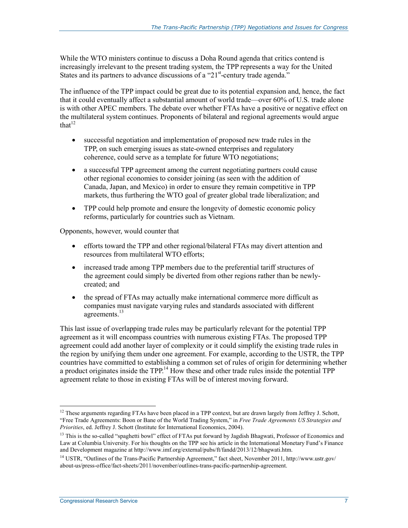While the WTO ministers continue to discuss a Doha Round agenda that critics contend is increasingly irrelevant to the present trading system, the TPP represents a way for the United States and its partners to advance discussions of a "21<sup>st</sup>-century trade agenda."

The influence of the TPP impact could be great due to its potential expansion and, hence, the fact that it could eventually affect a substantial amount of world trade—over 60% of U.S. trade alone is with other APEC members. The debate over whether FTAs have a positive or negative effect on the multilateral system continues. Proponents of bilateral and regional agreements would argue that $12$ 

- successful negotiation and implementation of proposed new trade rules in the TPP, on such emerging issues as state-owned enterprises and regulatory coherence, could serve as a template for future WTO negotiations;
- a successful TPP agreement among the current negotiating partners could cause other regional economies to consider joining (as seen with the addition of Canada, Japan, and Mexico) in order to ensure they remain competitive in TPP markets, thus furthering the WTO goal of greater global trade liberalization; and
- TPP could help promote and ensure the longevity of domestic economic policy reforms, particularly for countries such as Vietnam.

Opponents, however, would counter that

- efforts toward the TPP and other regional/bilateral FTAs may divert attention and resources from multilateral WTO efforts;
- increased trade among TPP members due to the preferential tariff structures of the agreement could simply be diverted from other regions rather than be newlycreated; and
- the spread of FTAs may actually make international commerce more difficult as companies must navigate varying rules and standards associated with different agreements.<sup>13</sup>

This last issue of overlapping trade rules may be particularly relevant for the potential TPP agreement as it will encompass countries with numerous existing FTAs. The proposed TPP agreement could add another layer of complexity or it could simplify the existing trade rules in the region by unifying them under one agreement. For example, according to the USTR, the TPP countries have committed to establishing a common set of rules of origin for determining whether a product originates inside the  $TPP<sup>14</sup>$  How these and other trade rules inside the potential  $TPP$ agreement relate to those in existing FTAs will be of interest moving forward.

<sup>&</sup>lt;sup>12</sup> These arguments regarding FTAs have been placed in a TPP context, but are drawn largely from Jeffrey J. Schott, "Free Trade Agreements: Boon or Bane of the World Trading System," in *Free Trade Agreements US Strategies and Priorities*, ed. Jeffrey J. Schott (Institute for International Economics, 2004).

 $13$  This is the so-called "spaghetti bowl" effect of FTAs put forward by Jagdish Bhagwati, Professor of Economics and Law at Columbia University. For his thoughts on the TPP see his article in the International Monetary Fund's Finance and Development magazine at http://www.imf.org/external/pubs/ft/fandd/2013/12/bhagwati.htm.

<sup>&</sup>lt;sup>14</sup> USTR, "Outlines of the Trans-Pacific Partnership Agreement," fact sheet, November 2011, http://www.ustr.gov/ about-us/press-office/fact-sheets/2011/november/outlines-trans-pacific-partnership-agreement.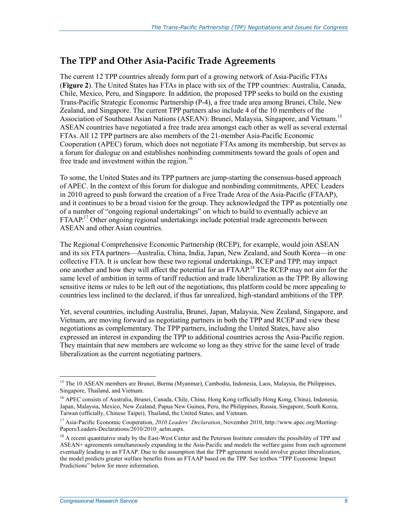## **The TPP and Other Asia-Pacific Trade Agreements**

The current 12 TPP countries already form part of a growing network of Asia-Pacific FTAs (**Figure 2**). The United States has FTAs in place with six of the TPP countries: Australia, Canada, Chile, Mexico, Peru, and Singapore. In addition, the proposed TPP seeks to build on the existing Trans-Pacific Strategic Economic Partnership (P-4), a free trade area among Brunei, Chile, New Zealand, and Singapore. The current TPP partners also include 4 of the 10 members of the Association of Southeast Asian Nations (ASEAN): Brunei, Malaysia, Singapore, and Vietnam.<sup>15</sup> ASEAN countries have negotiated a free trade area amongst each other as well as several external FTAs. All 12 TPP partners are also members of the 21-member Asia-Pacific Economic Cooperation (APEC) forum, which does not negotiate FTAs among its membership, but serves as a forum for dialogue on and establishes nonbinding commitments toward the goals of open and free trade and investment within the region.<sup>16</sup>

To some, the United States and its TPP partners are jump-starting the consensus-based approach of APEC. In the context of this forum for dialogue and nonbinding commitments, APEC Leaders in 2010 agreed to push forward the creation of a Free Trade Area of the Asia-Pacific (FTAAP), and it continues to be a broad vision for the group. They acknowledged the TPP as potentially one of a number of "ongoing regional undertakings" on which to build to eventually achieve an FTAAP.<sup>17</sup> Other ongoing regional undertakings include potential trade agreements between ASEAN and other Asian countries.

The Regional Comprehensive Economic Partnership (RCEP), for example, would join ASEAN and its six FTA partners—Australia, China, India, Japan, New Zealand, and South Korea—in one collective FTA. It is unclear how these two regional undertakings, RCEP and TPP, may impact one another and how they will affect the potential for an FTAAP.<sup>18</sup> The RCEP may not aim for the same level of ambition in terms of tariff reduction and trade liberalization as the TPP. By allowing sensitive items or rules to be left out of the negotiations, this platform could be more appealing to countries less inclined to the declared, if thus far unrealized, high-standard ambitions of the TPP.

Yet, several countries, including Australia, Brunei, Japan, Malaysia, New Zealand, Singapore, and Vietnam, are moving forward as negotiating partners in both the TPP and RCEP and view these negotiations as complementary. The TPP partners, including the United States, have also expressed an interest in expanding the TPP to additional countries across the Asia-Pacific region. They maintain that new members are welcome so long as they strive for the same level of trade liberalization as the current negotiating partners.

<sup>&</sup>lt;sup>15</sup> The 10 ASEAN members are Brunei, Burma (Myanmar), Cambodia, Indonesia, Laos, Malaysia, the Philippines, Singapore, Thailand, and Vietnam.

<sup>&</sup>lt;sup>16</sup> APEC consists of Australia, Brunei, Canada, Chile, China, Hong Kong (officially Hong Kong, China), Indonesia, Japan, Malaysia, Mexico, New Zealand, Papua New Guinea, Peru, the Philippines, Russia, Singapore, South Korea, Taiwan (officially, Chinese Taipei), Thailand, the United States, and Vietnam.

<sup>17</sup> Asia-Pacific Economic Cooperation, *2010 Leaders' Declaration*, November 2010, http://www.apec.org/Meeting-Papers/Leaders-Declarations/2010/2010\_aelm.aspx.

 $<sup>18</sup>$  A recent quantitative study by the East-West Center and the Peterson Institute considers the possibility of TPP and</sup> ASEAN+ agreements simultaneously expanding in the Asia-Pacific and models the welfare gains from each agreement eventually leading to an FTAAP. Due to the assumption that the TPP agreement would involve greater liberalization, the model predicts greater welfare benefits from an FTAAP based on the TPP. See textbox "TPP Economic Impact Predictions" below for more information.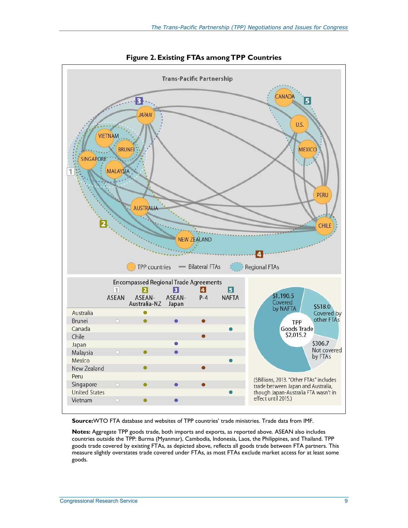

**Figure 2. Existing FTAs among TPP Countries** 

**Source:**WTO FTA database and websites of TPP countries' trade ministries. Trade data from IMF.

**Notes:** Aggregate TPP goods trade, both imports and exports, as reported above. ASEAN also includes countries outside the TPP: Burma (Myanmar), Cambodia, Indonesia, Laos, the Philippines, and Thailand. TPP goods trade covered by existing FTAs, as depicted above, reflects all goods trade between FTA partners. This measure slightly overstates trade covered under FTAs, as most FTAs exclude market access for at least some goods.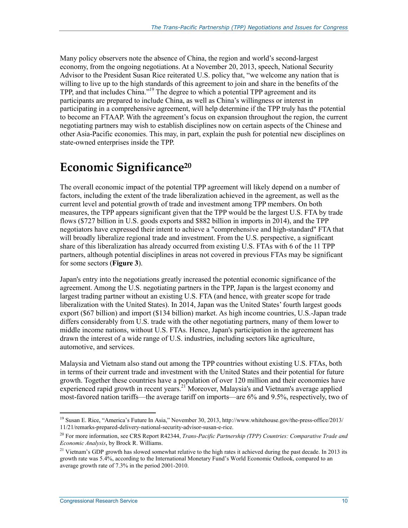Many policy observers note the absence of China, the region and world's second-largest economy, from the ongoing negotiations. At a November 20, 2013, speech, National Security Advisor to the President Susan Rice reiterated U.S. policy that, "we welcome any nation that is willing to live up to the high standards of this agreement to join and share in the benefits of the TPP, and that includes China."19 The degree to which a potential TPP agreement and its participants are prepared to include China, as well as China's willingness or interest in participating in a comprehensive agreement, will help determine if the TPP truly has the potential to become an FTAAP. With the agreement's focus on expansion throughout the region, the current negotiating partners may wish to establish disciplines now on certain aspects of the Chinese and other Asia-Pacific economies. This may, in part, explain the push for potential new disciplines on state-owned enterprises inside the TPP.

# **Economic Significance20**

The overall economic impact of the potential TPP agreement will likely depend on a number of factors, including the extent of the trade liberalization achieved in the agreement, as well as the current level and potential growth of trade and investment among TPP members. On both measures, the TPP appears significant given that the TPP would be the largest U.S. FTA by trade flows (\$727 billion in U.S. goods exports and \$882 billion in imports in 2014), and the TPP negotiators have expressed their intent to achieve a "comprehensive and high-standard" FTA that will broadly liberalize regional trade and investment. From the U.S. perspective, a significant share of this liberalization has already occurred from existing U.S. FTAs with 6 of the 11 TPP partners, although potential disciplines in areas not covered in previous FTAs may be significant for some sectors (**Figure 3**).

Japan's entry into the negotiations greatly increased the potential economic significance of the agreement. Among the U.S. negotiating partners in the TPP, Japan is the largest economy and largest trading partner without an existing U.S. FTA (and hence, with greater scope for trade liberalization with the United States). In 2014, Japan was the United States' fourth largest goods export (\$67 billion) and import (\$134 billion) market. As high income countries, U.S.-Japan trade differs considerably from U.S. trade with the other negotiating partners, many of them lower to middle income nations, without U.S. FTAs. Hence, Japan's participation in the agreement has drawn the interest of a wide range of U.S. industries, including sectors like agriculture, automotive, and services.

Malaysia and Vietnam also stand out among the TPP countries without existing U.S. FTAs, both in terms of their current trade and investment with the United States and their potential for future growth. Together these countries have a population of over 120 million and their economies have experienced rapid growth in recent years.<sup>21</sup> Moreover, Malaysia's and Vietnam's average applied most-favored nation tariffs—the average tariff on imports—are 6% and 9.5%, respectively, two of

<sup>1</sup> <sup>19</sup> Susan E. Rice, "America's Future In Asia," November 30, 2013, http://www.whitehouse.gov/the-press-office/2013/ 11/21/remarks-prepared-delivery-national-security-advisor-susan-e-rice.

<sup>20</sup> For more information, see CRS Report R42344, *Trans-Pacific Partnership (TPP) Countries: Comparative Trade and Economic Analysis*, by Brock R. Williams.

<sup>&</sup>lt;sup>21</sup> Vietnam's GDP growth has slowed somewhat relative to the high rates it achieved during the past decade. In 2013 its growth rate was 5.4%, according to the International Monetary Fund's World Economic Outlook, compared to an average growth rate of 7.3% in the period 2001-2010.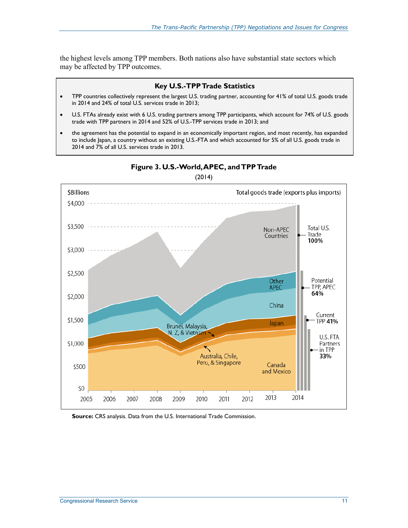the highest levels among TPP members. Both nations also have substantial state sectors which may be affected by TPP outcomes.

#### **Key U.S.-TPP Trade Statistics**

- TPP countries collectively represent the largest U.S. trading partner, accounting for 41% of total U.S. goods trade in 2014 and 24% of total U.S. services trade in 2013;
- U.S. FTAs already exist with 6 U.S. trading partners among TPP participants, which account for 74% of U.S. goods trade with TPP partners in 2014 and 52% of U.S.-TPP services trade in 2013; and
- the agreement has the potential to expand in an economically important region, and most recently, has expanded to include Japan, a country without an existing U.S.-FTA and which accounted for 5% of all U.S. goods trade in 2014 and 7% of all U.S. services trade in 2013.



**Figure 3. U.S.-World, APEC, and TPP Trade** 

(2014)

**Source:** CRS analysis. Data from the U.S. International Trade Commission.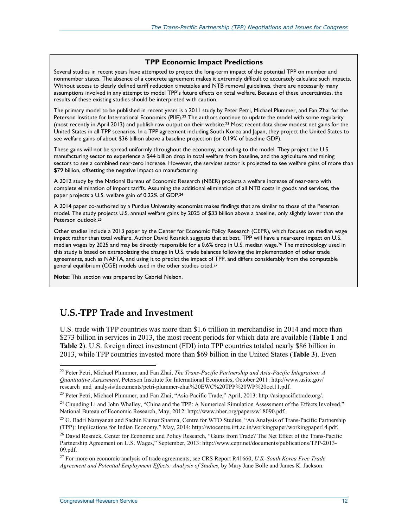#### **TPP Economic Impact Predictions**

Several studies in recent years have attempted to project the long-term impact of the potential TPP on member and nonmember states. The absence of a concrete agreement makes it extremely difficult to accurately calculate such impacts. Without access to clearly defined tariff reduction timetables and NTB removal guidelines, there are necessarily many assumptions involved in any attempt to model TPP's future effects on total welfare. Because of these uncertainties, the results of these existing studies should be interpreted with caution.

The primary model to be published in recent years is a 2011 study by Peter Petri, Michael Plummer, and Fan Zhai for the Peterson Institute for International Economics (PIIE).<sup>22</sup> The authors continue to update the model with some regularity (most recently in April 2013) and publish raw output on their website.23 Most recent data show modest net gains for the United States in all TPP scenarios. In a TPP agreement including South Korea and Japan, they project the United States to see welfare gains of about \$36 billion above a baseline projection (or 0.19% of baseline GDP).

These gains will not be spread uniformly throughout the economy, according to the model. They project the U.S. manufacturing sector to experience a \$44 billion drop in total welfare from baseline, and the agriculture and mining sectors to see a combined near-zero increase. However, the services sector is projected to see welfare gains of more than \$79 billion, offsetting the negative impact on manufacturing.

A 2012 study by the National Bureau of Economic Research (NBER) projects a welfare increase of near-zero with complete elimination of import tariffs. Assuming the additional elimination of all NTB costs in goods and services, the paper projects a U.S. welfare gain of 0.22% of GDP.24

A 2014 paper co-authored by a Purdue University economist makes findings that are similar to those of the Peterson model. The study projects U.S. annual welfare gains by 2025 of \$33 billion above a baseline, only slightly lower than the Peterson outlook.25

Other studies include a 2013 paper by the Center for Economic Policy Research (CEPR), which focuses on median wage impact rather than total welfare. Author David Rosnick suggests that at best, TPP will have a near-zero impact on U.S. median wages by 2025 and may be directly responsible for a 0.6% drop in U.S. median wage.<sup>26</sup> The methodology used in this study is based on extrapolating the change in U.S. trade balances following the implementation of other trade agreements, such as NAFTA, and using it to predict the impact of TPP, and differs considerably from the computable general equilibrium (CGE) models used in the other studies cited.27

**Note:** This section was prepared by Gabriel Nelson.

## **U.S.-TPP Trade and Investment**

U.S. trade with TPP countries was more than \$1.6 trillion in merchandise in 2014 and more than \$273 billion in services in 2013, the most recent periods for which data are available (**Table 1** and **Table 2**). U.S. foreign direct investment (FDI) into TPP countries totaled nearly \$86 billion in 2013, while TPP countries invested more than \$69 billion in the United States (**Table 3**). Even

<u>.</u>

<sup>22</sup> Peter Petri, Michael Plummer, and Fan Zhai, *The Trans-Pacific Partnership and Asia-Pacific Integration: A Quantitative Assessment*, Peterson Institute for International Economics, October 2011: http://www.usitc.gov/ research\_and\_analysis/documents/petri-plummer-zhai%20EWC%20TPP%20WP%20oct11.pdf.

<sup>&</sup>lt;sup>23</sup> Peter Petri, Michael Plummer, and Fan Zhai, "Asia-Pacific Trade," April, 2013: http://asiapacifictrade.org/.

 $^{24}$  Chunding Li and John Whalley, "China and the TPP: A Numerical Simulation Assessment of the Effects Involved," National Bureau of Economic Research, May, 2012: http://www.nber.org/papers/w18090.pdf.

<sup>&</sup>lt;sup>25</sup> G. Badri Narayanan and Sachin Kumar Sharma, Centre for WTO Studies, "An Analysis of Trans-Pacific Partnership (TPP): Implications for Indian Economy," May, 2014: http://wtocentre.iift.ac.in/workingpaper/workingpaper14.pdf.

<sup>&</sup>lt;sup>26</sup> David Rosnick, Center for Economic and Policy Research, "Gains from Trade? The Net Effect of the Trans-Pacific Partnership Agreement on U.S. Wages," September, 2013: http://www.cepr.net/documents/publications/TPP-2013- 09.pdf.

<sup>27</sup> For more on economic analysis of trade agreements, see CRS Report R41660, *U.S.-South Korea Free Trade Agreement and Potential Employment Effects: Analysis of Studies*, by Mary Jane Bolle and James K. Jackson.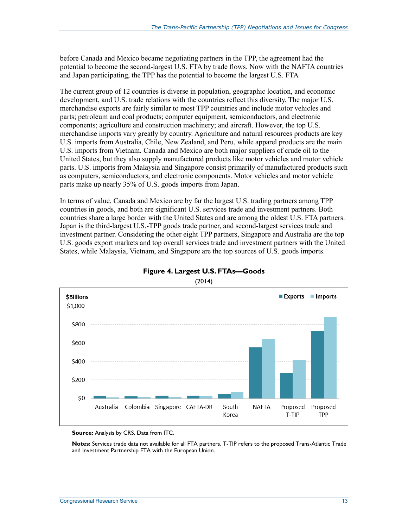before Canada and Mexico became negotiating partners in the TPP, the agreement had the potential to become the second-largest U.S. FTA by trade flows. Now with the NAFTA countries and Japan participating, the TPP has the potential to become the largest U.S. FTA

The current group of 12 countries is diverse in population, geographic location, and economic development, and U.S. trade relations with the countries reflect this diversity. The major U.S. merchandise exports are fairly similar to most TPP countries and include motor vehicles and parts; petroleum and coal products; computer equipment, semiconductors, and electronic components; agriculture and construction machinery; and aircraft. However, the top U.S. merchandise imports vary greatly by country. Agriculture and natural resources products are key U.S. imports from Australia, Chile, New Zealand, and Peru, while apparel products are the main U.S. imports from Vietnam. Canada and Mexico are both major suppliers of crude oil to the United States, but they also supply manufactured products like motor vehicles and motor vehicle parts. U.S. imports from Malaysia and Singapore consist primarily of manufactured products such as computers, semiconductors, and electronic components. Motor vehicles and motor vehicle parts make up nearly 35% of U.S. goods imports from Japan.

In terms of value, Canada and Mexico are by far the largest U.S. trading partners among TPP countries in goods, and both are significant U.S. services trade and investment partners. Both countries share a large border with the United States and are among the oldest U.S. FTA partners. Japan is the third-largest U.S.-TPP goods trade partner, and second-largest services trade and investment partner. Considering the other eight TPP partners, Singapore and Australia are the top U.S. goods export markets and top overall services trade and investment partners with the United States, while Malaysia, Vietnam, and Singapore are the top sources of U.S. goods imports.



#### **Figure 4. Largest U.S. FTAs—Goods**

(2014)

**Source:** Analysis by CRS. Data from ITC.

**Notes:** Services trade data not available for all FTA partners. T-TIP refers to the proposed Trans-Atlantic Trade and Investment Partnership FTA with the European Union.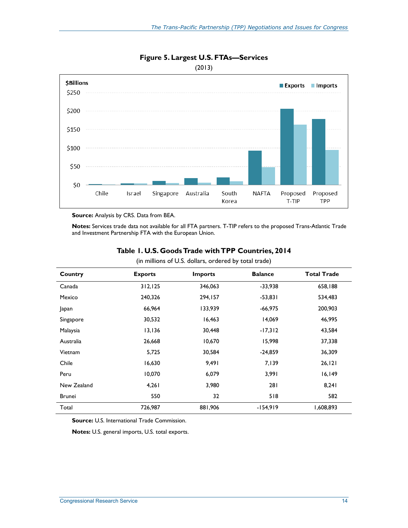

#### **Figure 5. Largest U.S. FTAs—Services**

(2013)

**Source:** Analysis by CRS. Data from BEA.

**Notes:** Services trade data not available for all FTA partners. T-TIP refers to the proposed Trans-Atlantic Trade and Investment Partnership FTA with the European Union.

|               | ヽ              |                | ,<br>$\overline{\phantom{a}}$ |                    |
|---------------|----------------|----------------|-------------------------------|--------------------|
| Country       | <b>Exports</b> | <b>Imports</b> | <b>Balance</b>                | <b>Total Trade</b> |
| Canada        | 312, 125       | 346,063        | $-33,938$                     | 658,188            |
| Mexico        | 240,326        | 294,157        | $-53,831$                     | 534,483            |
| Japan         | 66,964         | 133,939        | $-66,975$                     | 200,903            |
| Singapore     | 30,532         | 16,463         | 14,069                        | 46,995             |
| Malaysia      | 13,136         | 30,448         | $-17,312$                     | 43,584             |
| Australia     | 26,668         | 10,670         | 15,998                        | 37,338             |
| Vietnam       | 5,725          | 30,584         | $-24,859$                     | 36,309             |
| Chile         | 16,630         | 9,491          | 7,139                         | 26, 121            |
| Peru          | 10,070         | 6,079          | 3,991                         | 16, 149            |
| New Zealand   | 4,261          | 3,980          | 281                           | 8,241              |
| <b>Brunei</b> | 550            | 32             | 518                           | 582                |
| Total         | 726,987        | 881,906        | $-154,919$                    | 1,608,893          |

#### **Table 1. U.S. Goods Trade with TPP Countries, 2014**  (in millions of U.S. dollars, ordered by total trade)

**Source:** U.S. International Trade Commission.

**Notes:** U.S. general imports, U.S. total exports.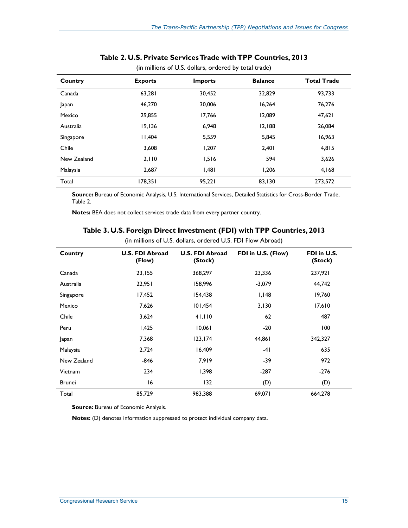| Country     | <b>Exports</b> | <b>Imports</b> | <b>Balance</b> | <b>Total Trade</b> |
|-------------|----------------|----------------|----------------|--------------------|
| Canada      | 63,281         | 30,452         | 32,829         | 93,733             |
| Japan       | 46.270         | 30.006         | 16.264         | 76,276             |
| Mexico      | 29,855         | 17,766         | 12,089         | 47,621             |
| Australia   | 19,136         | 6,948          | 12,188         | 26,084             |
| Singapore   | 11.404         | 5,559          | 5,845          | 16,963             |
| Chile       | 3,608          | 1.207          | 2.401          | 4,815              |
| New Zealand | 2,110          | 1,516          | 594            | 3,626              |
| Malaysia    | 2,687          | 1,481          | 1,206          | 4,168              |
| Total       | 178,351        | 95,221         | 83,130         | 273,572            |

#### **Table 2. U.S. Private Services Trade with TPP Countries, 2013**

(in millions of U.S. dollars, ordered by total trade)

**Source:** Bureau of Economic Analysis, U.S. International Services, Detailed Statistics for Cross-Border Trade, Table 2.

**Notes:** BEA does not collect services trade data from every partner country.

|               | x                                |                                   | $\overline{\phantom{a}}$ |                        |  |
|---------------|----------------------------------|-----------------------------------|--------------------------|------------------------|--|
| Country       | <b>U.S. FDI Abroad</b><br>(Flow) | <b>U.S. FDI Abroad</b><br>(Stock) | FDI in U.S. (Flow)       | FDI in U.S.<br>(Stock) |  |
| Canada        | 23,155                           | 368,297                           | 23,336                   | 237,921                |  |
| Australia     | 22,951                           | 158,996                           | $-3,079$                 | 44,742                 |  |
| Singapore     | 17,452                           | 154,438                           | I, I48                   | 19,760                 |  |
| Mexico        | 7,626                            | 101,454                           | 3,130                    | 17,610                 |  |
| Chile         | 3,624                            | 41,110                            | 62                       | 487                    |  |
| Peru          | 1,425                            | 10,061                            | $-20$                    | 100                    |  |
| Japan         | 7,368                            | 123, 174                          | 44,861                   | 342,327                |  |
| Malaysia      | 2,724                            | 16,409                            | $-41$                    | 635                    |  |
| New Zealand   | $-846$                           | 7,919                             | -39                      | 972                    |  |
| Vietnam       | 234                              | 1,398                             | $-287$                   | $-276$                 |  |
| <b>Brunei</b> | 16                               | 132                               | (D)                      | (D)                    |  |
| Total         | 85,729                           | 983,388                           | 69,071                   | 664,278                |  |

#### **Table 3. U.S. Foreign Direct Investment (FDI) with TPP Countries, 2013**

(in millions of U.S. dollars, ordered U.S. FDI Flow Abroad)

**Source:** Bureau of Economic Analysis.

**Notes:** (D) denotes information suppressed to protect individual company data.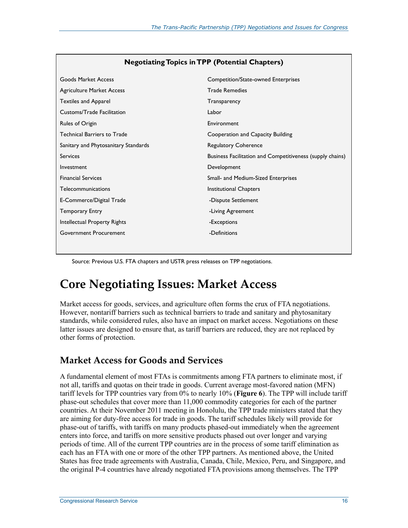| <b>Goods Market Access</b>           | Competition/State-owned Enterprises                       |
|--------------------------------------|-----------------------------------------------------------|
| Agriculture Market Access            | <b>Trade Remedies</b>                                     |
| <b>Textiles and Apparel</b>          | Transparency                                              |
| Customs/Trade Facilitation           | Labor                                                     |
| Rules of Origin                      | Environment                                               |
| <b>Technical Barriers to Trade</b>   | Cooperation and Capacity Building                         |
| Sanitary and Phytosanitary Standards | <b>Regulatory Coherence</b>                               |
| <b>Services</b>                      | Business Facilitation and Competitiveness (supply chains) |
| Investment                           | Development                                               |
| <b>Financial Services</b>            | Small- and Medium-Sized Enterprises                       |
| Telecommunications                   | Institutional Chapters                                    |
| E-Commerce/Digital Trade             | -Dispute Settlement                                       |
| <b>Temporary Entry</b>               | -Living Agreement                                         |
| Intellectual Property Rights         | -Exceptions                                               |
| Government Procurement               | -Definitions                                              |
|                                      |                                                           |

Source: Previous U.S. FTA chapters and USTR press releases on TPP negotiations.

# **Core Negotiating Issues: Market Access**

Market access for goods, services, and agriculture often forms the crux of FTA negotiations. However, nontariff barriers such as technical barriers to trade and sanitary and phytosanitary standards, while considered rules, also have an impact on market access. Negotiations on these latter issues are designed to ensure that, as tariff barriers are reduced, they are not replaced by other forms of protection.

## **Market Access for Goods and Services**

A fundamental element of most FTAs is commitments among FTA partners to eliminate most, if not all, tariffs and quotas on their trade in goods. Current average most-favored nation (MFN) tariff levels for TPP countries vary from 0% to nearly 10% (**Figure 6**). The TPP will include tariff phase-out schedules that cover more than 11,000 commodity categories for each of the partner countries. At their November 2011 meeting in Honolulu, the TPP trade ministers stated that they are aiming for duty-free access for trade in goods. The tariff schedules likely will provide for phase-out of tariffs, with tariffs on many products phased-out immediately when the agreement enters into force, and tariffs on more sensitive products phased out over longer and varying periods of time. All of the current TPP countries are in the process of some tariff elimination as each has an FTA with one or more of the other TPP partners. As mentioned above, the United States has free trade agreements with Australia, Canada, Chile, Mexico, Peru, and Singapore, and the original P-4 countries have already negotiated FTA provisions among themselves. The TPP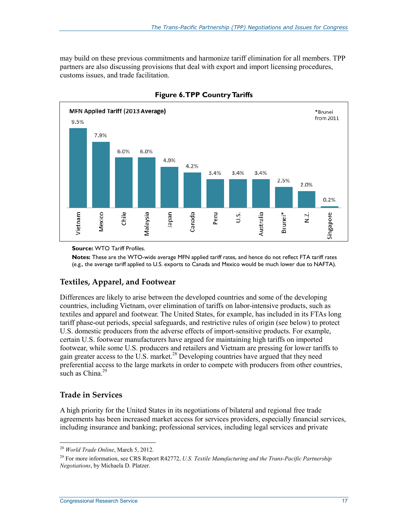may build on these previous commitments and harmonize tariff elimination for all members. TPP partners are also discussing provisions that deal with export and import licensing procedures, customs issues, and trade facilitation.



**Figure 6. TPP Country Tariffs** 

**Source:** WTO Tariff Profiles.

**Notes:** These are the WTO-wide average MFN applied tariff rates, and hence do not reflect FTA tariff rates (e.g., the average tariff applied to U.S. exports to Canada and Mexico would be much lower due to NAFTA).

#### **Textiles, Apparel, and Footwear**

Differences are likely to arise between the developed countries and some of the developing countries, including Vietnam, over elimination of tariffs on labor-intensive products, such as textiles and apparel and footwear. The United States, for example, has included in its FTAs long tariff phase-out periods, special safeguards, and restrictive rules of origin (see below) to protect U.S. domestic producers from the adverse effects of import-sensitive products. For example, certain U.S. footwear manufacturers have argued for maintaining high tariffs on imported footwear, while some U.S. producers and retailers and Vietnam are pressing for lower tariffs to gain greater access to the U.S. market.<sup>28</sup> Developing countries have argued that they need preferential access to the large markets in order to compete with producers from other countries, such as China<sup>29</sup>

#### **Trade in Services**

1

A high priority for the United States in its negotiations of bilateral and regional free trade agreements has been increased market access for services providers, especially financial services, including insurance and banking; professional services, including legal services and private

<sup>28</sup> *World Trade Online*, March 5, 2012.

<sup>29</sup> For more information, see CRS Report R42772, *U.S. Textile Manufacturing and the Trans-Pacific Partnership Negotiations*, by Michaela D. Platzer.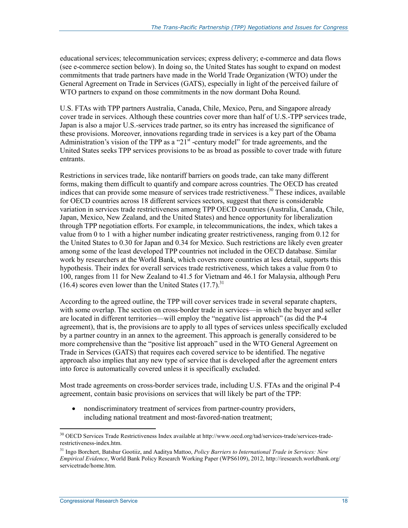educational services; telecommunication services; express delivery; e-commerce and data flows (see e-commerce section below). In doing so, the United States has sought to expand on modest commitments that trade partners have made in the World Trade Organization (WTO) under the General Agreement on Trade in Services (GATS), especially in light of the perceived failure of WTO partners to expand on those commitments in the now dormant Doha Round.

U.S. FTAs with TPP partners Australia, Canada, Chile, Mexico, Peru, and Singapore already cover trade in services. Although these countries cover more than half of U.S.-TPP services trade, Japan is also a major U.S.-services trade partner, so its entry has increased the significance of these provisions. Moreover, innovations regarding trade in services is a key part of the Obama Administration's vision of the TPP as a "21<sup>st</sup>-century model" for trade agreements, and the United States seeks TPP services provisions to be as broad as possible to cover trade with future entrants.

Restrictions in services trade, like nontariff barriers on goods trade, can take many different forms, making them difficult to quantify and compare across countries. The OECD has created indices that can provide some measure of services trade restrictiveness.<sup>30</sup> These indices, available for OECD countries across 18 different services sectors, suggest that there is considerable variation in services trade restrictiveness among TPP OECD countries (Australia, Canada, Chile, Japan, Mexico, New Zealand, and the United States) and hence opportunity for liberalization through TPP negotiation efforts. For example, in telecommunications, the index, which takes a value from 0 to 1 with a higher number indicating greater restrictiveness, ranging from 0.12 for the United States to 0.30 for Japan and 0.34 for Mexico. Such restrictions are likely even greater among some of the least developed TPP countries not included in the OECD database. Similar work by researchers at the World Bank, which covers more countries at less detail, supports this hypothesis. Their index for overall services trade restrictiveness, which takes a value from 0 to 100, ranges from 11 for New Zealand to 41.5 for Vietnam and 46.1 for Malaysia, although Peru  $(16.4)$  scores even lower than the United States  $(17.7)$ .<sup>31</sup>

According to the agreed outline, the TPP will cover services trade in several separate chapters, with some overlap. The section on cross-border trade in services—in which the buyer and seller are located in different territories—will employ the "negative list approach" (as did the P-4 agreement), that is, the provisions are to apply to all types of services unless specifically excluded by a partner country in an annex to the agreement. This approach is generally considered to be more comprehensive than the "positive list approach" used in the WTO General Agreement on Trade in Services (GATS) that requires each covered service to be identified. The negative approach also implies that any new type of service that is developed after the agreement enters into force is automatically covered unless it is specifically excluded.

Most trade agreements on cross-border services trade, including U.S. FTAs and the original P-4 agreement, contain basic provisions on services that will likely be part of the TPP:

• nondiscriminatory treatment of services from partner-country providers, including national treatment and most-favored-nation treatment;

<sup>30</sup> OECD Services Trade Restrictiveness Index available at http://www.oecd.org/tad/services-trade/services-traderestrictiveness-index.htm.

<sup>31</sup> Ingo Borchert, Batshur Gootiiz, and Aaditya Mattoo, *Policy Barriers to International Trade in Services: New Empirical Evidence*, World Bank Policy Research Working Paper (WPS6109), 2012, http://iresearch.worldbank.org/ servicetrade/home.htm.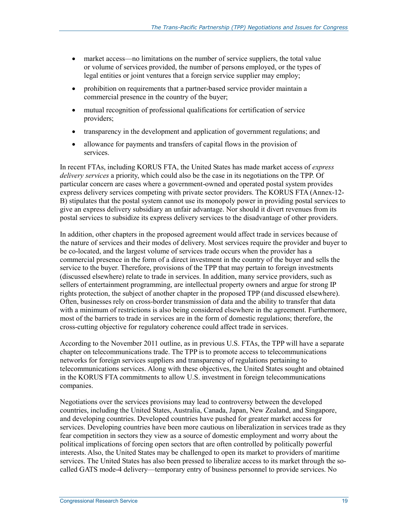- market access—no limitations on the number of service suppliers, the total value or volume of services provided, the number of persons employed, or the types of legal entities or joint ventures that a foreign service supplier may employ;
- prohibition on requirements that a partner-based service provider maintain a commercial presence in the country of the buyer;
- mutual recognition of professional qualifications for certification of service providers;
- transparency in the development and application of government regulations; and
- allowance for payments and transfers of capital flows in the provision of services.

In recent FTAs, including KORUS FTA, the United States has made market access of *express delivery services* a priority, which could also be the case in its negotiations on the TPP. Of particular concern are cases where a government-owned and operated postal system provides express delivery services competing with private sector providers. The KORUS FTA (Annex-12- B) stipulates that the postal system cannot use its monopoly power in providing postal services to give an express delivery subsidiary an unfair advantage. Nor should it divert revenues from its postal services to subsidize its express delivery services to the disadvantage of other providers.

In addition, other chapters in the proposed agreement would affect trade in services because of the nature of services and their modes of delivery. Most services require the provider and buyer to be co-located, and the largest volume of services trade occurs when the provider has a commercial presence in the form of a direct investment in the country of the buyer and sells the service to the buyer. Therefore, provisions of the TPP that may pertain to foreign investments (discussed elsewhere) relate to trade in services. In addition, many service providers, such as sellers of entertainment programming, are intellectual property owners and argue for strong IP rights protection, the subject of another chapter in the proposed TPP (and discussed elsewhere). Often, businesses rely on cross-border transmission of data and the ability to transfer that data with a minimum of restrictions is also being considered elsewhere in the agreement. Furthermore, most of the barriers to trade in services are in the form of domestic regulations; therefore, the cross-cutting objective for regulatory coherence could affect trade in services.

According to the November 2011 outline, as in previous U.S. FTAs, the TPP will have a separate chapter on telecommunications trade. The TPP is to promote access to telecommunications networks for foreign services suppliers and transparency of regulations pertaining to telecommunications services. Along with these objectives, the United States sought and obtained in the KORUS FTA commitments to allow U.S. investment in foreign telecommunications companies.

Negotiations over the services provisions may lead to controversy between the developed countries, including the United States, Australia, Canada, Japan, New Zealand, and Singapore, and developing countries. Developed countries have pushed for greater market access for services. Developing countries have been more cautious on liberalization in services trade as they fear competition in sectors they view as a source of domestic employment and worry about the political implications of forcing open sectors that are often controlled by politically powerful interests. Also, the United States may be challenged to open its market to providers of maritime services. The United States has also been pressed to liberalize access to its market through the socalled GATS mode-4 delivery—temporary entry of business personnel to provide services. No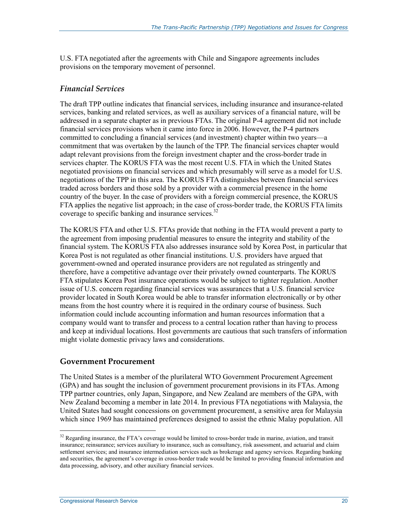U.S. FTA negotiated after the agreements with Chile and Singapore agreements includes provisions on the temporary movement of personnel.

#### *Financial Services*

The draft TPP outline indicates that financial services, including insurance and insurance-related services, banking and related services, as well as auxiliary services of a financial nature, will be addressed in a separate chapter as in previous FTAs. The original P-4 agreement did not include financial services provisions when it came into force in 2006. However, the P-4 partners committed to concluding a financial services (and investment) chapter within two years—a commitment that was overtaken by the launch of the TPP. The financial services chapter would adapt relevant provisions from the foreign investment chapter and the cross-border trade in services chapter. The KORUS FTA was the most recent U.S. FTA in which the United States negotiated provisions on financial services and which presumably will serve as a model for U.S. negotiations of the TPP in this area. The KORUS FTA distinguishes between financial services traded across borders and those sold by a provider with a commercial presence in the home country of the buyer. In the case of providers with a foreign commercial presence, the KORUS FTA applies the negative list approach; in the case of cross-border trade, the KORUS FTA limits coverage to specific banking and insurance services.<sup>32</sup>

The KORUS FTA and other U.S. FTAs provide that nothing in the FTA would prevent a party to the agreement from imposing prudential measures to ensure the integrity and stability of the financial system. The KORUS FTA also addresses insurance sold by Korea Post, in particular that Korea Post is not regulated as other financial institutions. U.S. providers have argued that government-owned and operated insurance providers are not regulated as stringently and therefore, have a competitive advantage over their privately owned counterparts. The KORUS FTA stipulates Korea Post insurance operations would be subject to tighter regulation. Another issue of U.S. concern regarding financial services was assurances that a U.S. financial service provider located in South Korea would be able to transfer information electronically or by other means from the host country where it is required in the ordinary course of business. Such information could include accounting information and human resources information that a company would want to transfer and process to a central location rather than having to process and keep at individual locations. Host governments are cautious that such transfers of information might violate domestic privacy laws and considerations.

#### **Government Procurement**

The United States is a member of the plurilateral WTO Government Procurement Agreement (GPA) and has sought the inclusion of government procurement provisions in its FTAs. Among TPP partner countries, only Japan, Singapore, and New Zealand are members of the GPA, with New Zealand becoming a member in late 2014. In previous FTA negotiations with Malaysia, the United States had sought concessions on government procurement, a sensitive area for Malaysia which since 1969 has maintained preferences designed to assist the ethnic Malay population. All

<sup>&</sup>lt;sup>32</sup> Regarding insurance, the FTA's coverage would be limited to cross-border trade in marine, aviation, and transit insurance; reinsurance; services auxiliary to insurance, such as consultancy, risk assessment, and actuarial and claim settlement services; and insurance intermediation services such as brokerage and agency services. Regarding banking and securities, the agreement's coverage in cross-border trade would be limited to providing financial information and data processing, advisory, and other auxiliary financial services.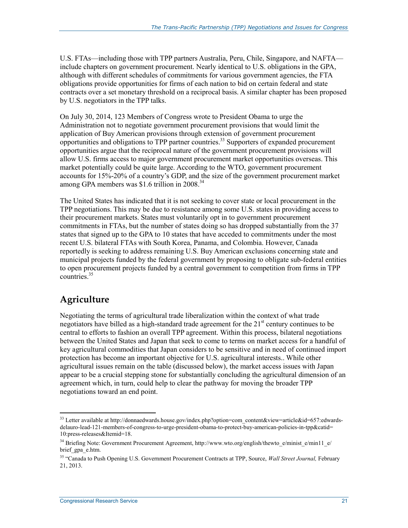U.S. FTAs—including those with TPP partners Australia, Peru, Chile, Singapore, and NAFTA include chapters on government procurement. Nearly identical to U.S. obligations in the GPA, although with different schedules of commitments for various government agencies, the FTA obligations provide opportunities for firms of each nation to bid on certain federal and state contracts over a set monetary threshold on a reciprocal basis. A similar chapter has been proposed by U.S. negotiators in the TPP talks.

On July 30, 2014, 123 Members of Congress wrote to President Obama to urge the Administration not to negotiate government procurement provisions that would limit the application of Buy American provisions through extension of government procurement opportunities and obligations to TPP partner countries.<sup>33</sup> Supporters of expanded procurement opportunities argue that the reciprocal nature of the government procurement provisions will allow U.S. firms access to major government procurement market opportunities overseas. This market potentially could be quite large. According to the WTO, government procurement accounts for 15%-20% of a country's GDP, and the size of the government procurement market among GPA members was \$1.6 trillion in  $2008.<sup>34</sup>$ 

The United States has indicated that it is not seeking to cover state or local procurement in the TPP negotiations. This may be due to resistance among some U.S. states in providing access to their procurement markets. States must voluntarily opt in to government procurement commitments in FTAs, but the number of states doing so has dropped substantially from the 37 states that signed up to the GPA to 10 states that have acceded to commitments under the most recent U.S. bilateral FTAs with South Korea, Panama, and Colombia. However, Canada reportedly is seeking to address remaining U.S. Buy American exclusions concerning state and municipal projects funded by the federal government by proposing to obligate sub-federal entities to open procurement projects funded by a central government to competition from firms in TPP countries<sup>35</sup>

## **Agriculture**

1

Negotiating the terms of agricultural trade liberalization within the context of what trade negotiators have billed as a high-standard trade agreement for the  $21<sup>st</sup>$  century continues to be central to efforts to fashion an overall TPP agreement. Within this process, bilateral negotiations between the United States and Japan that seek to come to terms on market access for a handful of key agricultural commodities that Japan considers to be sensitive and in need of continued import protection has become an important objective for U.S. agricultural interests.. While other agricultural issues remain on the table (discussed below), the market access issues with Japan appear to be a crucial stepping stone for substantially concluding the agricultural dimension of an agreement which, in turn, could help to clear the pathway for moving the broader TPP negotiations toward an end point.

<sup>&</sup>lt;sup>33</sup> Letter available at http://donnaedwards.house.gov/index.php?option=com\_content&view=article&id=657:edwardsdelauro-lead-121-members-of-congress-to-urge-president-obama-to-protect-buy-american-policies-in-tpp&catid= 10:press-releases&Itemid=18.

<sup>&</sup>lt;sup>34</sup> Briefing Note: Government Procurement Agreement, http://www.wto.org/english/thewto\_e/minist\_e/min11\_e/ brief\_gpa\_e.htm.

<sup>35 &</sup>quot;Canada to Push Opening U.S. Government Procurement Contracts at TPP, Source, *Wall Street Journal,* February 21, 2013.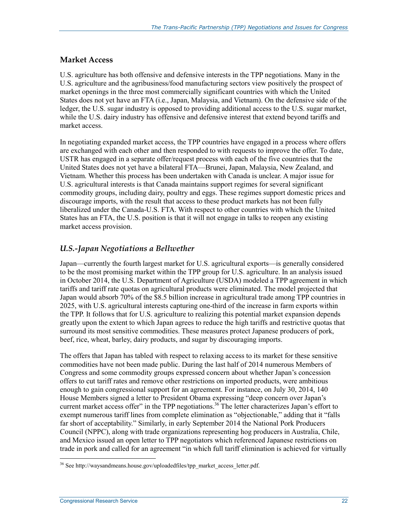#### **Market Access**

U.S. agriculture has both offensive and defensive interests in the TPP negotiations. Many in the U.S. agriculture and the agribusiness/food manufacturing sectors view positively the prospect of market openings in the three most commercially significant countries with which the United States does not yet have an FTA (i.e., Japan, Malaysia, and Vietnam). On the defensive side of the ledger, the U.S. sugar industry is opposed to providing additional access to the U.S. sugar market, while the U.S. dairy industry has offensive and defensive interest that extend beyond tariffs and market access.

In negotiating expanded market access, the TPP countries have engaged in a process where offers are exchanged with each other and then responded to with requests to improve the offer. To date, USTR has engaged in a separate offer/request process with each of the five countries that the United States does not yet have a bilateral FTA—Brunei, Japan, Malaysia, New Zealand, and Vietnam. Whether this process has been undertaken with Canada is unclear. A major issue for U.S. agricultural interests is that Canada maintains support regimes for several significant commodity groups, including dairy, poultry and eggs. These regimes support domestic prices and discourage imports, with the result that access to these product markets has not been fully liberalized under the Canada-U.S. FTA. With respect to other countries with which the United States has an FTA, the U.S. position is that it will not engage in talks to reopen any existing market access provision.

#### *U.S.-Japan Negotiations a Bellwether*

Japan—currently the fourth largest market for U.S. agricultural exports—is generally considered to be the most promising market within the TPP group for U.S. agriculture. In an analysis issued in October 2014, the U.S. Department of Agriculture (USDA) modeled a TPP agreement in which tariffs and tariff rate quotas on agricultural products were eliminated. The model projected that Japan would absorb 70% of the \$8.5 billion increase in agricultural trade among TPP countries in 2025, with U.S. agricultural interests capturing one-third of the increase in farm exports within the TPP. It follows that for U.S. agriculture to realizing this potential market expansion depends greatly upon the extent to which Japan agrees to reduce the high tariffs and restrictive quotas that surround its most sensitive commodities. These measures protect Japanese producers of pork, beef, rice, wheat, barley, dairy products, and sugar by discouraging imports.

The offers that Japan has tabled with respect to relaxing access to its market for these sensitive commodities have not been made public. During the last half of 2014 numerous Members of Congress and some commodity groups expressed concern about whether Japan's concession offers to cut tariff rates and remove other restrictions on imported products, were ambitious enough to gain congressional support for an agreement. For instance, on July 30, 2014, 140 House Members signed a letter to President Obama expressing "deep concern over Japan's current market access offer" in the TPP negotiations.<sup>36</sup> The letter characterizes Japan's effort to exempt numerous tariff lines from complete elimination as "objectionable," adding that it "falls far short of acceptability." Similarly, in early September 2014 the National Pork Producers Council (NPPC), along with trade organizations representing hog producers in Australia, Chile, and Mexico issued an open letter to TPP negotiators which referenced Japanese restrictions on trade in pork and called for an agreement "in which full tariff elimination is achieved for virtually

<u>.</u>

 $36$  See http://waysandmeans.house.gov/uploadedfiles/tpp\_market\_access\_letter.pdf.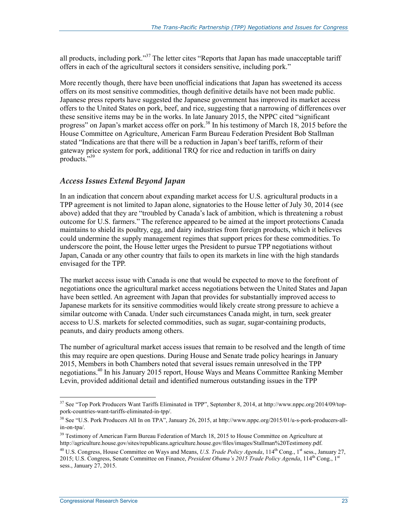all products, including pork."<sup>37</sup> The letter cites "Reports that Japan has made unacceptable tariff offers in each of the agricultural sectors it considers sensitive, including pork."

More recently though, there have been unofficial indications that Japan has sweetened its access offers on its most sensitive commodities, though definitive details have not been made public. Japanese press reports have suggested the Japanese government has improved its market access offers to the United States on pork, beef, and rice, suggesting that a narrowing of differences over these sensitive items may be in the works. In late January 2015, the NPPC cited "significant progress" on Japan's market access offer on pork.<sup>38</sup> In his testimony of March 18, 2015 before the House Committee on Agriculture, American Farm Bureau Federation President Bob Stallman stated "Indications are that there will be a reduction in Japan's beef tariffs, reform of their gateway price system for pork, additional TRQ for rice and reduction in tariffs on dairy products."39

#### *Access Issues Extend Beyond Japan*

In an indication that concern about expanding market access for U.S. agricultural products in a TPP agreement is not limited to Japan alone, signatories to the House letter of July 30, 2014 (see above) added that they are "troubled by Canada's lack of ambition, which is threatening a robust outcome for U.S. farmers." The reference appeared to be aimed at the import protections Canada maintains to shield its poultry, egg, and dairy industries from foreign products, which it believes could undermine the supply management regimes that support prices for these commodities. To underscore the point, the House letter urges the President to pursue TPP negotiations without Japan, Canada or any other country that fails to open its markets in line with the high standards envisaged for the TPP.

The market access issue with Canada is one that would be expected to move to the forefront of negotiations once the agricultural market access negotiations between the United States and Japan have been settled. An agreement with Japan that provides for substantially improved access to Japanese markets for its sensitive commodities would likely create strong pressure to achieve a similar outcome with Canada. Under such circumstances Canada might, in turn, seek greater access to U.S. markets for selected commodities, such as sugar, sugar-containing products, peanuts, and dairy products among others.

The number of agricultural market access issues that remain to be resolved and the length of time this may require are open questions. During House and Senate trade policy hearings in January 2015, Members in both Chambers noted that several issues remain unresolved in the TPP negotiations.40 In his January 2015 report, House Ways and Means Committee Ranking Member Levin, provided additional detail and identified numerous outstanding issues in the TPP

 $37$  See "Top Pork Producers Want Tariffs Eliminated in TPP", September 8, 2014, at http://www.nppc.org/2014/09/toppork-countries-want-tariffs-eliminated-in-tpp/.

<sup>38</sup> See "U.S. Pork Producers All In on TPA", January 26, 2015, at http://www.nppc.org/2015/01/u-s-pork-producers-allin-on-tpa/.

<sup>&</sup>lt;sup>39</sup> Testimony of American Farm Bureau Federation of March 18, 2015 to House Committee on Agriculture at http://agriculture.house.gov/sites/republicans.agriculture.house.gov/files/images/Stallman%20Testimony.pdf.

<sup>&</sup>lt;sup>40</sup> U.S. Congress, House Committee on Ways and Means, *U.S. Trade Policy Agenda*, 114<sup>th</sup> Cong., 1<sup>st</sup> sess., January 27, 2015; U.S. Congress, Senate Committee on Finance, *President Obama's 2015 Trade Policy Agenda*, 114<sup>th</sup> Cong., 1<sup>st</sup> sess., January 27, 2015.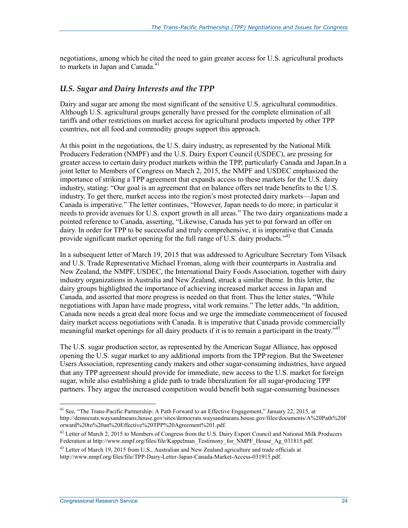negotiations, among which he cited the need to gain greater access for U.S. agricultural products to markets in Japan and Canada.<sup>41</sup>

#### *U.S. Sugar and Dairy Interests and the TPP*

Dairy and sugar are among the most significant of the sensitive U.S. agricultural commodities. Although U.S. agricultural groups generally have pressed for the complete elimination of all tariffs and other restrictions on market access for agricultural products imported by other TPP countries, not all food and commodity groups support this approach.

At this point in the negotiations, the U.S. dairy industry, as represented by the National Milk Producers Federation (NMPF) and the U.S. Dairy Export Council (USDEC), are pressing for greater access to certain dairy product markets within the TPP, particularly Canada and Japan.In a joint letter to Members of Congress on March 2, 2015, the NMPF and USDEC emphasized the importance of striking a TPP agreement that expands access to these markets for the U.S. dairy industry, stating: "Our goal is an agreement that on balance offers net trade benefits to the U.S. industry. To get there, market access into the region's most protected dairy markets—Japan and Canada is imperative." The letter continues, "However, Japan needs to do more; in particular it needs to provide avenues for U.S. export growth in all areas." The two dairy organizations made a pointed reference to Canada, asserting, "Likewise, Canada has yet to put forward an offer on dairy. In order for TPP to be successful and truly comprehensive, it is imperative that Canada provide significant market opening for the full range of U.S. dairy products."<sup>42</sup>

In a subsequent letter of March 19, 2015 that was addressed to Agriculture Secretary Tom Vilsack and U.S. Trade Representative Michael Froman, along with their counterparts in Australia and New Zealand, the NMPF, USDEC, the International Dairy Foods Association, together with dairy industry organizations in Australia and New Zealand, struck a similar theme. In this letter, the dairy groups highlighted the importance of achieving increased market access in Japan and Canada, and asserted that more progress is needed on that front. Thus the letter states, "While negotiations with Japan have made progress, vital work remains." The letter adds, "In addition, Canada now needs a great deal more focus and we urge the immediate commencement of focused dairy market access negotiations with Canada. It is imperative that Canada provide commercially meaningful market openings for all dairy products if it is to remain a participant in the treaty."<sup>43</sup>

The U.S. sugar production sector, as represented by the American Sugar Alliance, has opposed opening the U.S. sugar market to any additional imports from the TPP region. But the Sweetener Users Association, representing candy makers and other sugar-consuming industries, have argued that any TPP agreement should provide for immediate, new access to the U.S. market for foreign sugar, while also establishing a glide path to trade liberalization for all sugar-producing TPP partners. They argue the increased competition would benefit both sugar-consuming businesses

<sup>&</sup>lt;sup>41</sup> See, "The Trans-Pacific Partnership: A Path Forward to an Effective Engagement," January 22, 2015, at http://democrats.waysandmeans.house.gov/sites/democrats.waysandmeans.house.gov/files/documents/A%20Path%20F orward%20to%20an%20Effective%20TPP%20Agreement%201.pdf.

 $^{42}$  Letter of March 2, 2015 to Members of Congress from the U.S. Dairy Export Council and National Milk Producers Federation at http://www.nmpf.org/files/file/Kappelman\_Testimony\_for\_NMPF\_House\_Ag\_031815.pdf.

<sup>&</sup>lt;sup>43</sup> Letter of March 19, 2015 from U.S., Australian and New Zealand agriculture and trade officials at http://www.nmpf.org/files/file/TPP-Dairy-Letter-Japan-Canada-Market-Access-031915.pdf.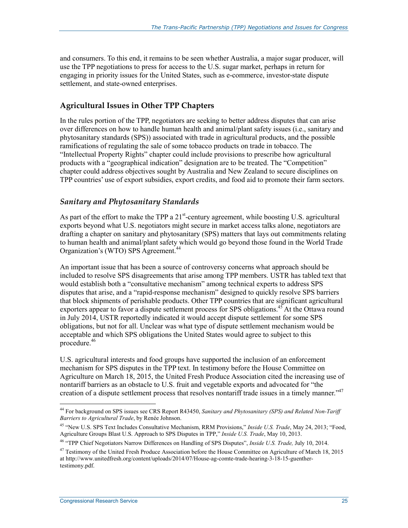and consumers. To this end, it remains to be seen whether Australia, a major sugar producer, will use the TPP negotiations to press for access to the U.S. sugar market, perhaps in return for engaging in priority issues for the United States, such as e-commerce, investor-state dispute settlement, and state-owned enterprises.

#### **Agricultural Issues in Other TPP Chapters**

In the rules portion of the TPP, negotiators are seeking to better address disputes that can arise over differences on how to handle human health and animal/plant safety issues (i.e., sanitary and phytosanitary standards (SPS)) associated with trade in agricultural products, and the possible ramifications of regulating the sale of some tobacco products on trade in tobacco. The "Intellectual Property Rights" chapter could include provisions to prescribe how agricultural products with a "geographical indication" designation are to be treated. The "Competition" chapter could address objectives sought by Australia and New Zealand to secure disciplines on TPP countries' use of export subsidies, export credits, and food aid to promote their farm sectors.

#### *Sanitary and Phytosanitary Standards*

As part of the effort to make the TPP a  $21^{st}$ -century agreement, while boosting U.S. agricultural exports beyond what U.S. negotiators might secure in market access talks alone, negotiators are drafting a chapter on sanitary and phytosanitary (SPS) matters that lays out commitments relating to human health and animal/plant safety which would go beyond those found in the World Trade Organization's (WTO) SPS Agreement.<sup>44</sup>

An important issue that has been a source of controversy concerns what approach should be included to resolve SPS disagreements that arise among TPP members. USTR has tabled text that would establish both a "consultative mechanism" among technical experts to address SPS disputes that arise, and a "rapid-response mechanism" designed to quickly resolve SPS barriers that block shipments of perishable products. Other TPP countries that are significant agricultural exporters appear to favor a dispute settlement process for SPS obligations.<sup>45</sup> At the Ottawa round in July 2014, USTR reportedly indicated it would accept dispute settlement for some SPS obligations, but not for all. Unclear was what type of dispute settlement mechanism would be acceptable and which SPS obligations the United States would agree to subject to this procedure.46

U.S. agricultural interests and food groups have supported the inclusion of an enforcement mechanism for SPS disputes in the TPP text. In testimony before the House Committee on Agriculture on March 18, 2015, the United Fresh Produce Association cited the increasing use of nontariff barriers as an obstacle to U.S. fruit and vegetable exports and advocated for "the creation of a dispute settlement process that resolves nontariff trade issues in a timely manner."<sup>47</sup>

<sup>44</sup> For background on SPS issues see CRS Report R43450, *Sanitary and Phytosanitary (SPS) and Related Non-Tariff Barriers to Agricultural Trade*, by Renée Johnson.

<sup>45 &</sup>quot;New U.S. SPS Text Includes Consultative Mechanism, RRM Provisions," *Inside U.S. Trade*, May 24, 2013; "Food, Agriculture Groups Blast U.S. Approach to SPS Disputes in TPP," *Inside U.S. Trade*, May 10, 2013.

<sup>46 &</sup>quot;TPP Chief Negotiators Narrow Differences on Handling of SPS Disputes", *Inside U.S. Trade,* July 10, 2014.

 $47$  Testimony of the United Fresh Produce Association before the House Committee on Agriculture of March 18, 2015 at http://www.unitedfresh.org/content/uploads/2014/07/House-ag-comte-trade-hearing-3-18-15-guenthertestimony.pdf.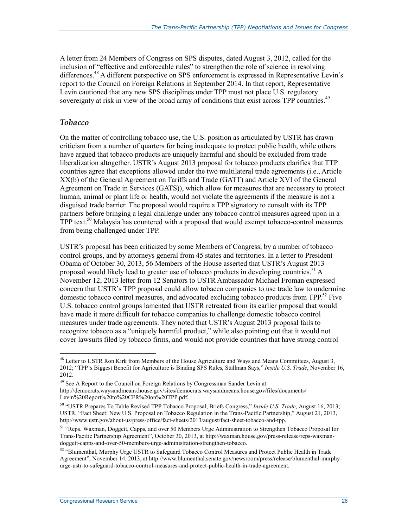A letter from 24 Members of Congress on SPS disputes, dated August 3, 2012, called for the inclusion of "effective and enforceable rules" to strengthen the role of science in resolving differences.<sup>48</sup> A different perspective on SPS enforcement is expressed in Representative Levin's report to the Council on Foreign Relations in September 2014. In that report, Representative Levin cautioned that any new SPS disciplines under TPP must not place U.S. regulatory sovereignty at risk in view of the broad array of conditions that exist across TPP countries.<sup>49</sup>

#### *Tobacco*

1

On the matter of controlling tobacco use, the U.S. position as articulated by USTR has drawn criticism from a number of quarters for being inadequate to protect public health, while others have argued that tobacco products are uniquely harmful and should be excluded from trade liberalization altogether. USTR's August 2013 proposal for tobacco products clarifies that TTP countries agree that exceptions allowed under the two multilateral trade agreements (i.e., Article XX(b) of the General Agreement on Tariffs and Trade (GATT) and Article XVI of the General Agreement on Trade in Services (GATS)), which allow for measures that are necessary to protect human, animal or plant life or health, would not violate the agreements if the measure is not a disguised trade barrier. The proposal would require a TPP signatory to consult with its TPP partners before bringing a legal challenge under any tobacco control measures agreed upon in a  $TPP$  text.<sup>50</sup> Malaysia has countered with a proposal that would exempt tobacco-control measures from being challenged under TPP.

USTR's proposal has been criticized by some Members of Congress, by a number of tobacco control groups, and by attorneys general from 45 states and territories. In a letter to President Obama of October 30, 2013, 56 Members of the House asserted that USTR's August 2013 proposal would likely lead to greater use of tobacco products in developing countries.<sup>51</sup> A November 12, 2013 letter from 12 Senators to USTR Ambassador Michael Froman expressed concern that USTR's TPP proposal could allow tobacco companies to use trade law to undermine domestic tobacco control measures, and advocated excluding tobacco products from TPP.<sup>52</sup> Five U.S. tobacco control groups lamented that USTR retreated from its earlier proposal that would have made it more difficult for tobacco companies to challenge domestic tobacco control measures under trade agreements. They noted that USTR's August 2013 proposal fails to recognize tobacco as a "uniquely harmful product," while also pointing out that it would not cover lawsuits filed by tobacco firms, and would not provide countries that have strong control

<sup>&</sup>lt;sup>48</sup> Letter to USTR Ron Kirk from Members of the House Agriculture and Ways and Means Committees, August 3, 2012; "TPP's Biggest Benefit for Agriculture is Binding SPS Rules, Stallman Says," *Inside U.S. Trade*, November 16, 2012.

<sup>&</sup>lt;sup>49</sup> See A Report to the Council on Foreign Relations by Congressman Sander Levin at http://democrats.waysandmeans.house.gov/sites/democrats.waysandmeans.house.gov/files/documents/ Levin%20Report%20to%20CFR%20on%20TPP.pdf.

<sup>50 &</sup>quot;USTR Prepares To Table Revised TPP Tobacco Proposal, Briefs Congress," *Inside U.S. Trade*, August 16, 2013; USTR, "Fact Sheet: New U.S. Proposal on Tobacco Regulation in the Trans-Pacific Partnership," August 21, 2013, http://www.ustr.gov/about-us/press-office/fact-sheets/2013/august/fact-sheet-tobacco-and-tpp.

<sup>51 &</sup>quot;Reps. Waxman, Doggett, Capps, and over 50 Members Urge Administration to Strengthen Tobacco Proposal for Trans-Pacific Partnership Agreement", October 30, 2013, at http://waxman.house.gov/press-release/reps-waxmandoggett-capps-and-over-50-members-urge-administration-strengthen-tobacco.

<sup>52 &</sup>quot;Blumenthal, Murphy Urge USTR to Safeguard Tobacco Control Measures and Protect Public Health in Trade Agreement", November 14, 2013, at http://www.blumenthal.senate.gov/newsroom/press/release/blumenthal-murphyurge-ustr-to-safeguard-tobacco-control-measures-and-protect-public-health-in-trade-agreement.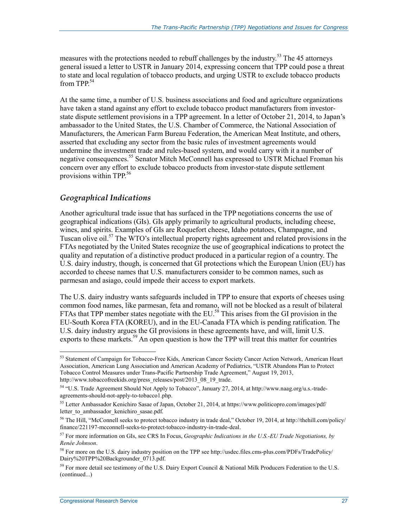measures with the protections needed to rebuff challenges by the industry.<sup>53</sup> The 45 attorneys general issued a letter to USTR in January 2014, expressing concern that TPP could pose a threat to state and local regulation of tobacco products, and urging USTR to exclude tobacco products from TPP.<sup>54</sup>

At the same time, a number of U.S. business associations and food and agriculture organizations have taken a stand against any effort to exclude tobacco product manufacturers from investorstate dispute settlement provisions in a TPP agreement. In a letter of October 21, 2014, to Japan's ambassador to the United States, the U.S. Chamber of Commerce, the National Association of Manufacturers, the American Farm Bureau Federation, the American Meat Institute, and others, asserted that excluding any sector from the basic rules of investment agreements would undermine the investment trade and rules-based system, and would carry with it a number of negative consequences.<sup>55</sup> Senator Mitch McConnell has expressed to USTR Michael Froman his concern over any effort to exclude tobacco products from investor-state dispute settlement provisions within TPP.<sup>56</sup>

#### *Geographical Indications*

Another agricultural trade issue that has surfaced in the TPP negotiations concerns the use of geographical indications (GIs). GIs apply primarily to agricultural products, including cheese, wines, and spirits. Examples of GIs are Roquefort cheese, Idaho potatoes, Champagne, and Tuscan olive oil.<sup>57</sup> The WTO's intellectual property rights agreement and related provisions in the FTAs negotiated by the United States recognize the use of geographical indications to protect the quality and reputation of a distinctive product produced in a particular region of a country. The U.S. dairy industry, though, is concerned that GI protections which the European Union (EU) has accorded to cheese names that U.S. manufacturers consider to be common names, such as parmesan and asiago, could impede their access to export markets.

The U.S. dairy industry wants safeguards included in TPP to ensure that exports of cheeses using common food names, like parmesan, feta and romano, will not be blocked as a result of bilateral FTAs that TPP member states negotiate with the EU.<sup>58</sup> This arises from the GI provision in the EU-South Korea FTA (KOREU), and in the EU-Canada FTA which is pending ratification. The U.S. dairy industry argues the GI provisions in these agreements have, and will, limit U.S. exports to these markets.<sup>59</sup> An open question is how the TPP will treat this matter for countries

<sup>53</sup> Statement of Campaign for Tobacco-Free Kids, American Cancer Society Cancer Action Network, American Heart Association, American Lung Association and American Academy of Pediatrics, "USTR Abandons Plan to Protect Tobacco Control Measures under Trans-Pacific Partnership Trade Agreement," August 19, 2013, http://www.tobaccofreekids.org/press\_releases/post/2013\_08\_19\_trade.

<sup>54 &</sup>quot;U.S. Trade Agreement Should Not Apply to Tobacco", January 27, 2014, at http://www.naag.org/u.s.-tradeagreements-should-not-apply-to-tobacco1.php.

<sup>&</sup>lt;sup>55</sup> Letter Ambassador Kenichiro Sasae of Japan, October 21, 2014, at https://www.politicopro.com/images/pdf/ letter to ambassador kenichiro sasae.pdf.

<sup>&</sup>lt;sup>56</sup> The Hill, "McConnell seeks to protect tobacco industry in trade deal," October 19, 2014, at http://thehill.com/policy/ finance/221197-mcconnell-seeks-to-protect-tobacco-industry-in-trade-deal.

<sup>57</sup> For more information on GIs, see CRS In Focus, *Geographic Indications in the U.S.-EU Trade Negotiations, by Renée Johnson*.

<sup>58</sup> For more on the U.S. dairy industry position on the TPP see http://usdec.files.cms-plus.com/PDFs/TradePolicy/ Dairy%20TPP%20Backgrounder\_0713.pdf.

<sup>&</sup>lt;sup>59</sup> For more detail see testimony of the U.S. Dairy Export Council & National Milk Producers Federation to the U.S. (continued...)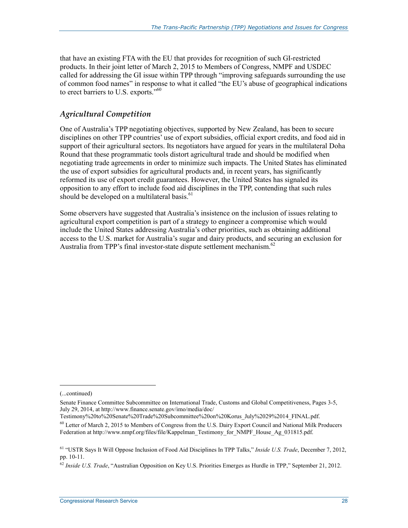that have an existing FTA with the EU that provides for recognition of such GI-restricted products. In their joint letter of March 2, 2015 to Members of Congress, NMPF and USDEC called for addressing the GI issue within TPP through "improving safeguards surrounding the use of common food names" in response to what it called "the EU's abuse of geographical indications to erect barriers to U.S. exports."<sup>60</sup>

#### *Agricultural Competition*

One of Australia's TPP negotiating objectives, supported by New Zealand, has been to secure disciplines on other TPP countries' use of export subsidies, official export credits, and food aid in support of their agricultural sectors. Its negotiators have argued for years in the multilateral Doha Round that these programmatic tools distort agricultural trade and should be modified when negotiating trade agreements in order to minimize such impacts. The United States has eliminated the use of export subsidies for agricultural products and, in recent years, has significantly reformed its use of export credit guarantees. However, the United States has signaled its opposition to any effort to include food aid disciplines in the TPP, contending that such rules should be developed on a multilateral basis. $61$ 

Some observers have suggested that Australia's insistence on the inclusion of issues relating to agricultural export competition is part of a strategy to engineer a compromise which would include the United States addressing Australia's other priorities, such as obtaining additional access to the U.S. market for Australia's sugar and dairy products, and securing an exclusion for Australia from TPP's final investor-state dispute settlement mechanism.<sup>62</sup>

1

Testimony%20to%20Senate%20Trade%20Subcommittee%20on%20Korus\_July%2029%2014\_FINAL.pdf.

<sup>(...</sup>continued)

Senate Finance Committee Subcommittee on International Trade, Customs and Global Competitiveness, Pages 3-5, July 29, 2014, at http://www.finance.senate.gov/imo/media/doc/

 $60$  Letter of March 2, 2015 to Members of Congress from the U.S. Dairy Export Council and National Milk Producers Federation at http://www.nmpf.org/files/file/Kappelman\_Testimony\_for\_NMPF\_House\_Ag\_031815.pdf.

<sup>61 &</sup>quot;USTR Says It Will Oppose Inclusion of Food Aid Disciplines In TPP Talks," *Inside U.S. Trade*, December 7, 2012, pp. 10-11.

<sup>62</sup> *Inside U.S. Trade*, "Australian Opposition on Key U.S. Priorities Emerges as Hurdle in TPP," September 21, 2012.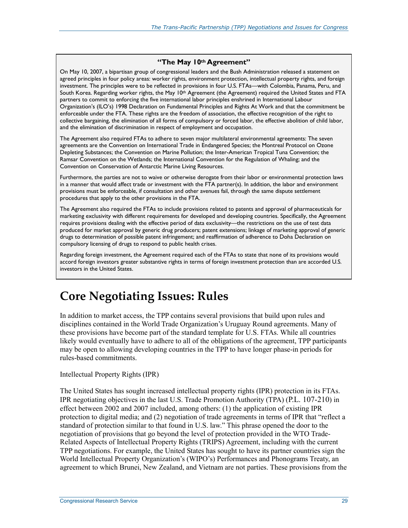#### **"The May 10th Agreement"**

On May 10, 2007, a bipartisan group of congressional leaders and the Bush Administration released a statement on agreed principles in four policy areas: worker rights, environment protection, intellectual property rights, and foreign investment. The principles were to be reflected in provisions in four U.S. FTAs—with Colombia, Panama, Peru, and South Korea. Regarding worker rights, the May 10<sup>th</sup> Agreement (the Agreement) required the United States and FTA partners to commit to enforcing the five international labor principles enshrined in International Labour Organization's (ILO's) 1998 Declaration on Fundamental Principles and Rights At Work and that the commitment be enforceable under the FTA. These rights are the freedom of association, the effective recognition of the right to collective bargaining, the elimination of all forms of compulsory or forced labor, the effective abolition of child labor, and the elimination of discrimination in respect of employment and occupation.

The Agreement also required FTAs to adhere to seven major multilateral environmental agreements: The seven agreements are the Convention on International Trade in Endangered Species; the Montreal Protocol on Ozone Depleting Substances; the Convention on Marine Pollution; the Inter-American Tropical Tuna Convention; the Ramsar Convention on the Wetlands; the International Convention for the Regulation of Whaling; and the Convention on Conservation of Antarctic Marine Living Resources.

Furthermore, the parties are not to waive or otherwise derogate from their labor or environmental protection laws in a manner that would affect trade or investment with the FTA partner(s). In addition, the labor and environment provisions must be enforceable, if consultation and other avenues fail, through the same dispute settlement procedures that apply to the other provisions in the FTA.

The Agreement also required the FTAs to include provisions related to patents and approval of pharmaceuticals for marketing exclusivity with different requirements for developed and developing countries. Specifically, the Agreement requires provisions dealing with the effective period of data exclusivity—the restrictions on the use of test data produced for market approval by generic drug producers; patent extensions; linkage of marketing approval of generic drugs to determination of possible patent infringement; and reaffirmation of adherence to Doha Declaration on compulsory licensing of drugs to respond to public health crises.

Regarding foreign investment, the Agreement required each of the FTAs to state that none of its provisions would accord foreign investors greater substantive rights in terms of foreign investment protection than are accorded U.S. investors in the United States.

## **Core Negotiating Issues: Rules**

In addition to market access, the TPP contains several provisions that build upon rules and disciplines contained in the World Trade Organization's Uruguay Round agreements. Many of these provisions have become part of the standard template for U.S. FTAs. While all countries likely would eventually have to adhere to all of the obligations of the agreement, TPP participants may be open to allowing developing countries in the TPP to have longer phase-in periods for rules-based commitments.

#### Intellectual Property Rights (IPR)

The United States has sought increased intellectual property rights (IPR) protection in its FTAs. IPR negotiating objectives in the last U.S. Trade Promotion Authority (TPA) (P.L. 107-210) in effect between 2002 and 2007 included, among others: (1) the application of existing IPR protection to digital media; and (2) negotiation of trade agreements in terms of IPR that "reflect a standard of protection similar to that found in U.S. law." This phrase opened the door to the negotiation of provisions that go beyond the level of protection provided in the WTO Trade-Related Aspects of Intellectual Property Rights (TRIPS) Agreement, including with the current TPP negotiations. For example, the United States has sought to have its partner countries sign the World Intellectual Property Organization's (WIPO's) Performances and Phonograms Treaty, an agreement to which Brunei, New Zealand, and Vietnam are not parties. These provisions from the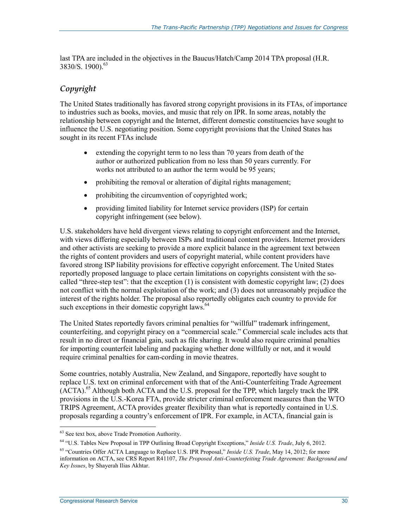last TPA are included in the objectives in the Baucus/Hatch/Camp 2014 TPA proposal (H.R. 3830/S. 1900).<sup>63</sup>

#### *Copyright*

The United States traditionally has favored strong copyright provisions in its FTAs, of importance to industries such as books, movies, and music that rely on IPR. In some areas, notably the relationship between copyright and the Internet, different domestic constituencies have sought to influence the U.S. negotiating position. Some copyright provisions that the United States has sought in its recent FTAs include

- extending the copyright term to no less than 70 years from death of the author or authorized publication from no less than 50 years currently. For works not attributed to an author the term would be 95 years;
- prohibiting the removal or alteration of digital rights management;
- prohibiting the circumvention of copyrighted work;
- providing limited liability for Internet service providers (ISP) for certain copyright infringement (see below).

U.S. stakeholders have held divergent views relating to copyright enforcement and the Internet, with views differing especially between ISPs and traditional content providers. Internet providers and other activists are seeking to provide a more explicit balance in the agreement text between the rights of content providers and users of copyright material, while content providers have favored strong ISP liability provisions for effective copyright enforcement. The United States reportedly proposed language to place certain limitations on copyrights consistent with the socalled "three-step test": that the exception (1) is consistent with domestic copyright law; (2) does not conflict with the normal exploitation of the work; and (3) does not unreasonably prejudice the interest of the rights holder. The proposal also reportedly obligates each country to provide for such exceptions in their domestic copyright laws.<sup>64</sup>

The United States reportedly favors criminal penalties for "willful" trademark infringement, counterfeiting, and copyright piracy on a "commercial scale." Commercial scale includes acts that result in no direct or financial gain, such as file sharing. It would also require criminal penalties for importing counterfeit labeling and packaging whether done willfully or not, and it would require criminal penalties for cam-cording in movie theatres.

Some countries, notably Australia, New Zealand, and Singapore, reportedly have sought to replace U.S. text on criminal enforcement with that of the Anti-Counterfeiting Trade Agreement (ACTA).<sup>65</sup> Although both ACTA and the U.S. proposal for the TPP, which largely track the IPR provisions in the U.S.-Korea FTA, provide stricter criminal enforcement measures than the WTO TRIPS Agreement, ACTA provides greater flexibility than what is reportedly contained in U.S. proposals regarding a country's enforcement of IPR. For example, in ACTA, financial gain is

<sup>63</sup> See text box, above Trade Promotion Authority.

<sup>64 &</sup>quot;U.S. Tables New Proposal in TPP Outlining Broad Copyright Exceptions," *Inside U.S. Trade*, July 6, 2012.

<sup>65 &</sup>quot;Countries Offer ACTA Language to Replace U.S. IPR Proposal," *Inside U.S. Trade*, May 14, 2012; for more information on ACTA, see CRS Report R41107, *The Proposed Anti-Counterfeiting Trade Agreement: Background and Key Issues*, by Shayerah Ilias Akhtar.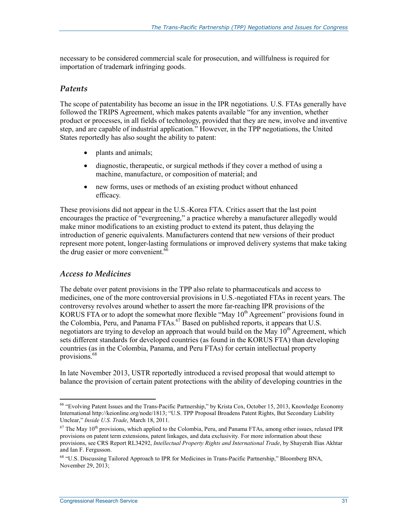necessary to be considered commercial scale for prosecution, and willfulness is required for importation of trademark infringing goods.

#### *Patents*

The scope of patentability has become an issue in the IPR negotiations. U.S. FTAs generally have followed the TRIPS Agreement, which makes patents available "for any invention, whether product or processes, in all fields of technology, provided that they are new, involve and inventive step, and are capable of industrial application." However, in the TPP negotiations, the United States reportedly has also sought the ability to patent:

- plants and animals;
- diagnostic, therapeutic, or surgical methods if they cover a method of using a machine, manufacture, or composition of material; and
- new forms, uses or methods of an existing product without enhanced efficacy.

These provisions did not appear in the U.S.-Korea FTA. Critics assert that the last point encourages the practice of "evergreening," a practice whereby a manufacturer allegedly would make minor modifications to an existing product to extend its patent, thus delaying the introduction of generic equivalents. Manufacturers contend that new versions of their product represent more potent, longer-lasting formulations or improved delivery systems that make taking the drug easier or more convenient.<sup>66</sup>

#### *Access to Medicines*

The debate over patent provisions in the TPP also relate to pharmaceuticals and access to medicines, one of the more controversial provisions in U.S.-negotiated FTAs in recent years. The controversy revolves around whether to assert the more far-reaching IPR provisions of the KORUS FTA or to adopt the somewhat more flexible "May  $10<sup>th</sup>$  Agreement" provisions found in the Colombia, Peru, and Panama FTAs.<sup>67</sup> Based on published reports, it appears that U.S. negotiators are trying to develop an approach that would build on the May  $10<sup>th</sup>$  Agreement, which sets different standards for developed countries (as found in the KORUS FTA) than developing countries (as in the Colombia, Panama, and Peru FTAs) for certain intellectual property provisions.<sup>68</sup>

In late November 2013, USTR reportedly introduced a revised proposal that would attempt to balance the provision of certain patent protections with the ability of developing countries in the

<sup>66 &</sup>quot;Evolving Patent Issues and the Trans-Pacific Partnership," by Krista Cox, October 15, 2013, Knowledge Economy International http://keionline.org/node/1813; "U.S. TPP Proposal Broadens Patent Rights, But Secondary Liability Unclear," *Inside U.S. Trade*, March 18, 2011.

 $67$  The May  $10<sup>th</sup>$  provisions, which applied to the Colombia, Peru, and Panama FTAs, among other issues, relaxed IPR provisions on patent term extensions, patent linkages, and data exclusivity. For more information about these provisions, see CRS Report RL34292, *Intellectual Property Rights and International Trade*, by Shayerah Ilias Akhtar and Ian F. Fergusson.

<sup>68 &</sup>quot;U.S. Discussing Tailored Approach to IPR for Medicines in Trans-Pacific Partnership," Bloomberg BNA, November 29, 2013;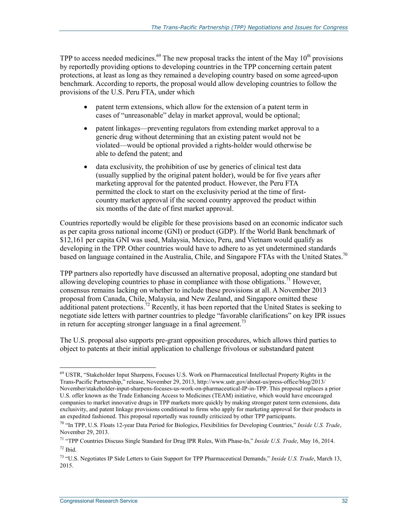TPP to access needed medicines.<sup>69</sup> The new proposal tracks the intent of the May  $10<sup>th</sup>$  provisions by reportedly providing options to developing countries in the TPP concerning certain patent protections, at least as long as they remained a developing country based on some agreed-upon benchmark. According to reports, the proposal would allow developing countries to follow the provisions of the U.S. Peru FTA, under which

- patent term extensions, which allow for the extension of a patent term in cases of "unreasonable" delay in market approval, would be optional;
- patent linkages—preventing regulators from extending market approval to a generic drug without determining that an existing patent would not be violated—would be optional provided a rights-holder would otherwise be able to defend the patent; and
- data exclusivity, the prohibition of use by generics of clinical test data (usually supplied by the original patent holder), would be for five years after marketing approval for the patented product. However, the Peru FTA permitted the clock to start on the exclusivity period at the time of firstcountry market approval if the second country approved the product within six months of the date of first market approval.

Countries reportedly would be eligible for these provisions based on an economic indicator such as per capita gross national income (GNI) or product (GDP). If the World Bank benchmark of \$12,161 per capita GNI was used, Malaysia, Mexico, Peru, and Vietnam would qualify as developing in the TPP. Other countries would have to adhere to as yet undetermined standards based on language contained in the Australia, Chile, and Singapore FTAs with the United States.<sup>70</sup>

TPP partners also reportedly have discussed an alternative proposal, adopting one standard but allowing developing countries to phase in compliance with those obligations.<sup>71</sup> However, consensus remains lacking on whether to include these provisions at all. A November 2013 proposal from Canada, Chile, Malaysia, and New Zealand, and Singapore omitted these additional patent protections.<sup>72</sup> Recently, it has been reported that the United States is seeking to negotiate side letters with partner countries to pledge "favorable clarifications" on key IPR issues in return for accepting stronger language in a final agreement.<sup>73</sup>

The U.S. proposal also supports pre-grant opposition procedures, which allows third parties to object to patents at their initial application to challenge frivolous or substandard patent

<u>.</u>

<sup>69</sup> USTR, "Stakeholder Input Sharpens, Focuses U.S. Work on Pharmaceutical Intellectual Property Rights in the Trans-Pacific Partnership," release, November 29, 2013, http://www.ustr.gov/about-us/press-office/blog/2013/ November/stakeholder-input-sharpens-focuses-us-work-on-pharmaceutical-IP-in-TPP. This proposal replaces a prior U.S. offer known as the Trade Enhancing Access to Medicines (TEAM) initiative, which would have encouraged companies to market innovative drugs in TPP markets more quickly by making stronger patent term extensions, data exclusivity, and patent linkage provisions conditional to firms who apply for marketing approval for their products in an expedited fashioned. This proposal reportedly was roundly criticized by other TPP participants.

<sup>70 &</sup>quot;In TPP, U.S. Floats 12-year Data Period for Biologics, Flexibilities for Developing Countries," *Inside U.S. Trade*, November 29, 2013.

<sup>71 &</sup>quot;TPP Countries Discuss Single Standard for Drug IPR Rules, With Phase-In," *Inside U.S. Trade*, May 16, 2014. 72 Ibid.

<sup>73 &</sup>quot;U.S. Negotiates IP Side Letters to Gain Support for TPP Pharmaceutical Demands," *Inside U.S. Trade*, March 13, 2015.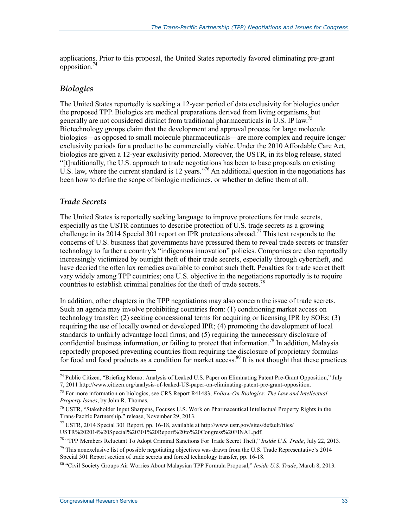applications. Prior to this proposal, the United States reportedly favored eliminating pre-grant opposition.74

#### *Biologics*

The United States reportedly is seeking a 12-year period of data exclusivity for biologics under the proposed TPP. Biologics are medical preparations derived from living organisms, but generally are not considered distinct from traditional pharmaceuticals in U.S. IP law.<sup>75</sup> Biotechnology groups claim that the development and approval process for large molecule biologics—as opposed to small molecule pharmaceuticals—are more complex and require longer exclusivity periods for a product to be commercially viable. Under the 2010 Affordable Care Act, biologics are given a 12-year exclusivity period. Moreover, the USTR, in its blog release, stated "[t]raditionally, the U.S. approach to trade negotiations has been to base proposals on existing U.S. law, where the current standard is 12 years."<sup>76</sup> An additional question in the negotiations has been how to define the scope of biologic medicines, or whether to define them at all.

#### *Trade Secrets*

1

The United States is reportedly seeking language to improve protections for trade secrets, especially as the USTR continues to describe protection of U.S. trade secrets as a growing challenge in its 2014 Special 301 report on IPR protections abroad.<sup>77</sup> This text responds to the concerns of U.S. business that governments have pressured them to reveal trade secrets or transfer technology to further a country's "indigenous innovation" policies. Companies are also reportedly increasingly victimized by outright theft of their trade secrets, especially through cybertheft, and have decried the often lax remedies available to combat such theft. Penalties for trade secret theft vary widely among TPP countries; one U.S. objective in the negotiations reportedly is to require countries to establish criminal penalties for the theft of trade secrets.<sup>78</sup>

In addition, other chapters in the TPP negotiations may also concern the issue of trade secrets. Such an agenda may involve prohibiting countries from: (1) conditioning market access on technology transfer; (2) seeking concessional terms for acquiring or licensing IPR by SOEs; (3) requiring the use of locally owned or developed IPR; (4) promoting the development of local standards to unfairly advantage local firms; and (5) requiring the unnecessary disclosure of confidential business information, or failing to protect that information.<sup>79</sup> In addition, Malaysia reportedly proposed preventing countries from requiring the disclosure of proprietary formulas for food and food products as a condition for market access.<sup>80</sup> It is not thought that these practices

<sup>74</sup> Public Citizen, "Briefing Memo: Analysis of Leaked U.S. Paper on Eliminating Patent Pre-Grant Opposition," July 7, 2011 http://www.citizen.org/analysis-of-leaked-US-paper-on-eliminating-patent-pre-grant-opposition.

<sup>75</sup> For more information on biologics, see CRS Report R41483, *Follow-On Biologics: The Law and Intellectual Property Issues*, by John R. Thomas.

<sup>76</sup> USTR, "Stakeholder Input Sharpens, Focuses U.S. Work on Pharmaceutical Intellectual Property Rights in the Trans-Pacific Partnership," release, November 29, 2013.

<sup>77</sup> USTR, 2014 Special 301 Report, pp. 16-18, available at http://www.ustr.gov/sites/default/files/ USTR%202014%20Special%20301%20Report%20to%20Congress%20FINAL.pdf.

<sup>78 &</sup>quot;TPP Members Reluctant To Adopt Criminal Sanctions For Trade Secret Theft," *Inside U.S. Trade*, July 22, 2013.

 $79$  This nonexclusive list of possible negotiating objectives was drawn from the U.S. Trade Representative's 2014 Special 301 Report section of trade secrets and forced technology transfer, pp. 16-18.

<sup>80 &</sup>quot;Civil Society Groups Air Worries About Malaysian TPP Formula Proposal," *Inside U.S. Trade*, March 8, 2013.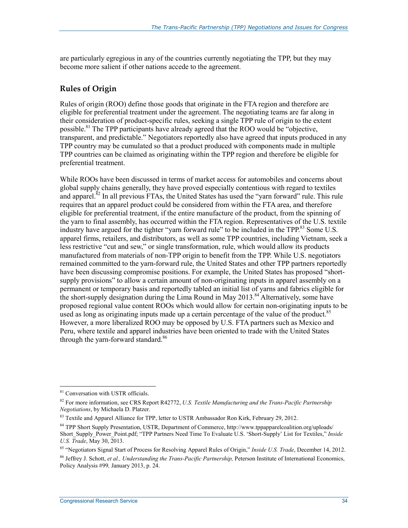are particularly egregious in any of the countries currently negotiating the TPP, but they may become more salient if other nations accede to the agreement.

#### **Rules of Origin**

Rules of origin (ROO) define those goods that originate in the FTA region and therefore are eligible for preferential treatment under the agreement. The negotiating teams are far along in their consideration of product-specific rules, seeking a single TPP rule of origin to the extent possible.81 The TPP participants have already agreed that the ROO would be "objective, transparent, and predictable." Negotiators reportedly also have agreed that inputs produced in any TPP country may be cumulated so that a product produced with components made in multiple TPP countries can be claimed as originating within the TPP region and therefore be eligible for preferential treatment.

While ROOs have been discussed in terms of market access for automobiles and concerns about global supply chains generally, they have proved especially contentious with regard to textiles and apparel. $82$  In all previous FTAs, the United States has used the "yarn forward" rule. This rule requires that an apparel product could be considered from within the FTA area, and therefore eligible for preferential treatment, if the entire manufacture of the product, from the spinning of the yarn to final assembly, has occurred within the FTA region. Representatives of the U.S. textile industry have argued for the tighter "yarn forward rule" to be included in the TPP.<sup>83</sup> Some U.S. apparel firms, retailers, and distributors, as well as some TPP countries, including Vietnam, seek a less restrictive "cut and sew," or single transformation, rule, which would allow its products manufactured from materials of non-TPP origin to benefit from the TPP. While U.S. negotiators remained committed to the yarn-forward rule, the United States and other TPP partners reportedly have been discussing compromise positions. For example, the United States has proposed "shortsupply provisions" to allow a certain amount of non-originating inputs in apparel assembly on a permanent or temporary basis and reportedly tabled an initial list of yarns and fabrics eligible for the short-supply designation during the Lima Round in May  $2013$ .<sup>84</sup> Alternatively, some have proposed regional value content ROOs which would allow for certain non-originating inputs to be used as long as originating inputs made up a certain percentage of the value of the product.<sup>85</sup> However, a more liberalized ROO may be opposed by U.S. FTA partners such as Mexico and Peru, where textile and apparel industries have been oriented to trade with the United States through the yarn-forward standard.<sup>86</sup>

<sup>81</sup> Conversation with USTR officials.

<sup>82</sup> For more information, see CRS Report R42772, *U.S. Textile Manufacturing and the Trans-Pacific Partnership Negotiations*, by Michaela D. Platzer.

<sup>&</sup>lt;sup>83</sup> Textile and Apparel Alliance for TPP, letter to USTR Ambassador Ron Kirk, February 29, 2012.

<sup>84</sup> TPP Short Supply Presentation, USTR, Department of Commerce, http://www.tppapparelcoalition.org/uploads/ Short\_Supply\_Power\_Point.pdf; "TPP Partners Need Time To Evaluate U.S. 'Short-Supply' List for Textiles," *Inside U.S. Trade*, May 30, 2013.

<sup>85 &</sup>quot;Negotiators Signal Start of Process for Resolving Apparel Rules of Origin," *Inside U.S. Trade*, December 14, 2012.

<sup>86</sup> Jeffrey J. Schott, *et al., Understanding the Trans-Pacific Partnership,* Peterson Institute of International Economics, Policy Analysis #99*,* January 2013, p. 24.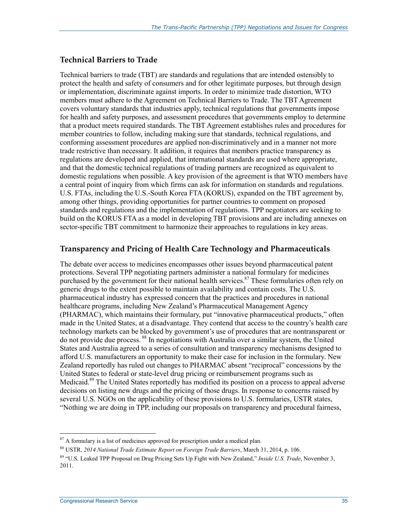#### **Technical Barriers to Trade**

Technical barriers to trade (TBT) are standards and regulations that are intended ostensibly to protect the health and safety of consumers and for other legitimate purposes, but through design or implementation, discriminate against imports. In order to minimize trade distortion, WTO members must adhere to the Agreement on Technical Barriers to Trade. The TBT Agreement covers voluntary standards that industries apply, technical regulations that governments impose for health and safety purposes, and assessment procedures that governments employ to determine that a product meets required standards. The TBT Agreement establishes rules and procedures for member countries to follow, including making sure that standards, technical regulations, and conforming assessment procedures are applied non-discriminatively and in a manner not more trade restrictive than necessary. It addition, it requires that members practice transparency as regulations are developed and applied, that international standards are used where appropriate, and that the domestic technical regulations of trading partners are recognized as equivalent to domestic regulations when possible. A key provision of the agreement is that WTO members have a central point of inquiry from which firms can ask for information on standards and regulations. U.S. FTAs, including the U.S.-South Korea FTA (KORUS), expanded on the TBT agreement by, among other things, providing opportunities for partner countries to comment on proposed standards and regulations and the implementation of regulations. TPP negotiators are seeking to build on the KORUS FTA as a model in developing TBT provisions and are including annexes on sector-specific TBT commitment to harmonize their approaches to regulations in key areas.

#### **Transparency and Pricing of Health Care Technology and Pharmaceuticals**

The debate over access to medicines encompasses other issues beyond pharmaceutical patent protections. Several TPP negotiating partners administer a national formulary for medicines purchased by the government for their national health services.<sup>87</sup> These formularies often rely on generic drugs to the extent possible to maintain availability and contain costs. The U.S. pharmaceutical industry has expressed concern that the practices and procedures in national healthcare programs, including New Zealand's Pharmaceutical Management Agency (PHARMAC), which maintains their formulary, put "innovative pharmaceutical products," often made in the United States, at a disadvantage. They contend that access to the country's health care technology markets can be blocked by government's use of procedures that are nontransparent or do not provide due process. 88 In negotiations with Australia over a similar system, the United States and Australia agreed to a series of consultation and transparency mechanisms designed to afford U.S. manufacturers an opportunity to make their case for inclusion in the formulary. New Zealand reportedly has ruled out changes to PHARMAC absent "reciprocal" concessions by the United States to federal or state-level drug pricing or reimbursement programs such as Medicaid.<sup>89</sup> The United States reportedly has modified its position on a process to appeal adverse decisions on listing new drugs and the pricing of those drugs. In response to concerns raised by several U.S. NGOs on the applicability of these provisions to U.S. formularies, USTR states, "Nothing we are doing in TPP, including our proposals on transparency and procedural fairness,

 $87$  A formulary is a list of medicines approved for prescription under a medical plan.

<sup>88</sup> USTR, *2014 National Trade Estimate Report on Foreign Trade Barriers*, March 31, 2014, p. 106.

<sup>89 &</sup>quot;U.S. Leaked TPP Proposal on Drug Pricing Sets Up Fight with New Zealand," *Inside U.S. Trade*, November 3, 2011.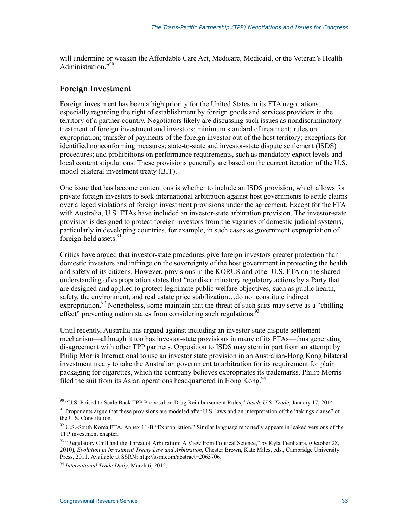will undermine or weaken the Affordable Care Act, Medicare, Medicaid, or the Veteran's Health Administration."90

#### **Foreign Investment**

Foreign investment has been a high priority for the United States in its FTA negotiations, especially regarding the right of establishment by foreign goods and services providers in the territory of a partner-country. Negotiators likely are discussing such issues as nondiscriminatory treatment of foreign investment and investors; minimum standard of treatment; rules on expropriation; transfer of payments of the foreign investor out of the host territory; exceptions for identified nonconforming measures; state-to-state and investor-state dispute settlement (ISDS) procedures; and prohibitions on performance requirements, such as mandatory export levels and local content stipulations. These provisions generally are based on the current iteration of the U.S. model bilateral investment treaty (BIT).

One issue that has become contentious is whether to include an ISDS provision, which allows for private foreign investors to seek international arbitration against host governments to settle claims over alleged violations of foreign investment provisions under the agreement. Except for the FTA with Australia, U.S. FTAs have included an investor-state arbitration provision. The investor-state provision is designed to protect foreign investors from the vagaries of domestic judicial systems, particularly in developing countries, for example, in such cases as government expropriation of foreign-held assets.<sup>91</sup>

Critics have argued that investor-state procedures give foreign investors greater protection than domestic investors and infringe on the sovereignty of the host government in protecting the health and safety of its citizens. However, provisions in the KORUS and other U.S. FTA on the shared understanding of expropriation states that "nondiscriminatory regulatory actions by a Party that are designed and applied to protect legitimate public welfare objectives, such as public health, safety, the environment, and real estate price stabilization…do not constitute indirect expropriation.<sup>92</sup> Nonetheless, some maintain that the threat of such suits may serve as a "chilling" effect<sup>"</sup> preventing nation states from considering such regulations.<sup>93</sup>

Until recently, Australia has argued against including an investor-state dispute settlement mechanism—although it too has investor-state provisions in many of its FTAs—thus generating disagreement with other TPP partners. Opposition to ISDS may stem in part from an attempt by Philip Morris International to use an investor state provision in an Australian-Hong Kong bilateral investment treaty to take the Australian government to arbitration for its requirement for plain packaging for cigarettes, which the company believes expropriates its trademarks. Philip Morris filed the suit from its Asian operations headquartered in Hong Kong.<sup>94</sup>

<sup>90 &</sup>quot;U.S. Poised to Scale Back TPP Proposal on Drug Reimbursement Rules," *Inside U.S. Trade*, January 17, 2014.

<sup>&</sup>lt;sup>91</sup> Proponents argue that these provisions are modeled after U.S. laws and an interpretation of the "takings clause" of the U.S. Constitution.

<sup>&</sup>lt;sup>92</sup> U.S.-South Korea FTA, Annex 11-B "Expropriation." Similar language reportedly appears in leaked versions of the TPP investment chapter.

<sup>93 &</sup>quot;Regulatory Chill and the Threat of Arbitration: A View from Political Science," by Kyla Tienhaara, (October 28, 2010), *Evolution in Investment Treaty Law and Arbitration*, Chester Brown, Kate Miles, eds., Cambridge University Press, 2011. Available at SSRN: http://ssrn.com/abstract=2065706.

<sup>94</sup> *International Trade Daily,* March 6, 2012.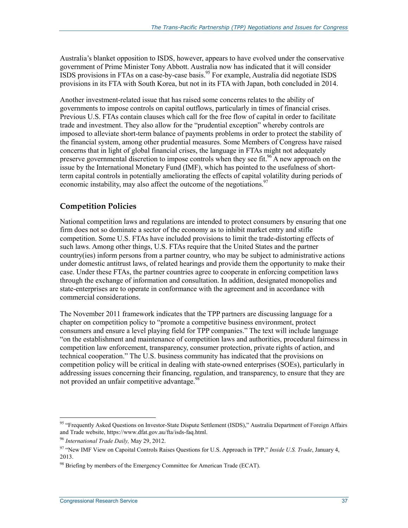Australia's blanket opposition to ISDS, however, appears to have evolved under the conservative government of Prime Minister Tony Abbott. Australia now has indicated that it will consider  $ISDS$  provisions in FTAs on a case-by-case basis.<sup>95</sup> For example, Australia did negotiate ISDS provisions in its FTA with South Korea, but not in its FTA with Japan, both concluded in 2014.

Another investment-related issue that has raised some concerns relates to the ability of governments to impose controls on capital outflows, particularly in times of financial crises. Previous U.S. FTAs contain clauses which call for the free flow of capital in order to facilitate trade and investment. They also allow for the "prudential exception" whereby controls are imposed to alleviate short-term balance of payments problems in order to protect the stability of the financial system, among other prudential measures. Some Members of Congress have raised concerns that in light of global financial crises, the language in FTAs might not adequately preserve governmental discretion to impose controls when they see fit.<sup>96</sup> A new approach on the issue by the International Monetary Fund (IMF), which has pointed to the usefulness of shortterm capital controls in potentially ameliorating the effects of capital volatility during periods of economic instability, may also affect the outcome of the negotiations.<sup>97</sup>

#### **Competition Policies**

National competition laws and regulations are intended to protect consumers by ensuring that one firm does not so dominate a sector of the economy as to inhibit market entry and stifle competition. Some U.S. FTAs have included provisions to limit the trade-distorting effects of such laws. Among other things, U.S. FTAs require that the United States and the partner country(ies) inform persons from a partner country, who may be subject to administrative actions under domestic antitrust laws, of related hearings and provide them the opportunity to make their case. Under these FTAs, the partner countries agree to cooperate in enforcing competition laws through the exchange of information and consultation. In addition, designated monopolies and state-enterprises are to operate in conformance with the agreement and in accordance with commercial considerations.

The November 2011 framework indicates that the TPP partners are discussing language for a chapter on competition policy to "promote a competitive business environment, protect consumers and ensure a level playing field for TPP companies." The text will include language "on the establishment and maintenance of competition laws and authorities, procedural fairness in competition law enforcement, transparency, consumer protection, private rights of action, and technical cooperation." The U.S. business community has indicated that the provisions on competition policy will be critical in dealing with state-owned enterprises (SOEs), particularly in addressing issues concerning their financing, regulation, and transparency, to ensure that they are not provided an unfair competitive advantage.<sup>98</sup>

<sup>95 &</sup>quot;Frequently Asked Questions on Investor-State Dispute Settlement (ISDS)," Australia Department of Foreign Affairs and Trade website, https://www.dfat.gov.au/fta/isds-faq.html.

<sup>96</sup> *International Trade Daily,* May 29, 2012.

<sup>97 &</sup>quot;New IMF View on Capoital Controls Raises Questions for U.S. Approach in TPP," *Inside U.S. Trade*, January 4, 2013.

 $98$  Briefing by members of the Emergency Committee for American Trade (ECAT).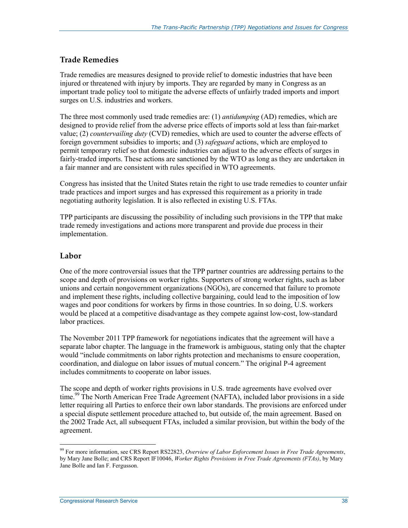#### **Trade Remedies**

Trade remedies are measures designed to provide relief to domestic industries that have been injured or threatened with injury by imports. They are regarded by many in Congress as an important trade policy tool to mitigate the adverse effects of unfairly traded imports and import surges on U.S. industries and workers.

The three most commonly used trade remedies are: (1) *antidumping* (AD) remedies, which are designed to provide relief from the adverse price effects of imports sold at less than fair-market value; (2) *countervailing duty* (CVD) remedies, which are used to counter the adverse effects of foreign government subsidies to imports; and (3) *safeguard* actions, which are employed to permit temporary relief so that domestic industries can adjust to the adverse effects of surges in fairly-traded imports. These actions are sanctioned by the WTO as long as they are undertaken in a fair manner and are consistent with rules specified in WTO agreements.

Congress has insisted that the United States retain the right to use trade remedies to counter unfair trade practices and import surges and has expressed this requirement as a priority in trade negotiating authority legislation. It is also reflected in existing U.S. FTAs.

TPP participants are discussing the possibility of including such provisions in the TPP that make trade remedy investigations and actions more transparent and provide due process in their implementation.

#### **Labor**

1

One of the more controversial issues that the TPP partner countries are addressing pertains to the scope and depth of provisions on worker rights. Supporters of strong worker rights, such as labor unions and certain nongovernment organizations (NGOs), are concerned that failure to promote and implement these rights, including collective bargaining, could lead to the imposition of low wages and poor conditions for workers by firms in those countries. In so doing, U.S. workers would be placed at a competitive disadvantage as they compete against low-cost, low-standard labor practices.

The November 2011 TPP framework for negotiations indicates that the agreement will have a separate labor chapter. The language in the framework is ambiguous, stating only that the chapter would "include commitments on labor rights protection and mechanisms to ensure cooperation, coordination, and dialogue on labor issues of mutual concern." The original P-4 agreement includes commitments to cooperate on labor issues.

The scope and depth of worker rights provisions in U.S. trade agreements have evolved over time.<sup>99</sup> The North American Free Trade Agreement (NAFTA), included labor provisions in a side letter requiring all Parties to enforce their own labor standards. The provisions are enforced under a special dispute settlement procedure attached to, but outside of, the main agreement. Based on the 2002 Trade Act, all subsequent FTAs, included a similar provision, but within the body of the agreement.

<sup>99</sup> For more information, see CRS Report RS22823, *Overview of Labor Enforcement Issues in Free Trade Agreements*, by Mary Jane Bolle; and CRS Report IF10046, *Worker Rights Provisions in Free Trade Agreements (FTAs)*, by Mary Jane Bolle and Ian F. Fergusson.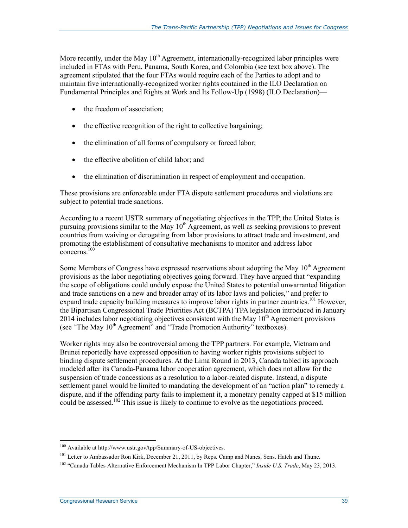More recently, under the May  $10<sup>th</sup>$  Agreement, internationally-recognized labor principles were included in FTAs with Peru, Panama, South Korea, and Colombia (see text box above). The agreement stipulated that the four FTAs would require each of the Parties to adopt and to maintain five internationally-recognized worker rights contained in the ILO Declaration on Fundamental Principles and Rights at Work and Its Follow-Up (1998) (ILO Declaration)—

- the freedom of association;
- the effective recognition of the right to collective bargaining;
- the elimination of all forms of compulsory or forced labor;
- the effective abolition of child labor; and
- the elimination of discrimination in respect of employment and occupation.

These provisions are enforceable under FTA dispute settlement procedures and violations are subject to potential trade sanctions.

According to a recent USTR summary of negotiating objectives in the TPP, the United States is pursuing provisions similar to the May  $10<sup>th</sup>$  Agreement, as well as seeking provisions to prevent countries from waiving or derogating from labor provisions to attract trade and investment, and promoting the establishment of consultative mechanisms to monitor and address labor concerns.<sup> $100$ </sup>

Some Members of Congress have expressed reservations about adopting the May  $10<sup>th</sup>$  Agreement provisions as the labor negotiating objectives going forward. They have argued that "expanding the scope of obligations could unduly expose the United States to potential unwarranted litigation and trade sanctions on a new and broader array of its labor laws and policies," and prefer to expand trade capacity building measures to improve labor rights in partner countries.<sup>101</sup> However, the Bipartisan Congressional Trade Priorities Act (BCTPA) TPA legislation introduced in January 2014 includes labor negotiating objectives consistent with the May  $10^{th}$  Agreement provisions (see "The May  $10^{th}$  Agreement" and "Trade Promotion Authority" textboxes).

Worker rights may also be controversial among the TPP partners. For example, Vietnam and Brunei reportedly have expressed opposition to having worker rights provisions subject to binding dispute settlement procedures. At the Lima Round in 2013, Canada tabled its approach modeled after its Canada-Panama labor cooperation agreement, which does not allow for the suspension of trade concessions as a resolution to a labor-related dispute. Instead, a dispute settlement panel would be limited to mandating the development of an "action plan" to remedy a dispute, and if the offending party fails to implement it, a monetary penalty capped at \$15 million could be assessed.<sup>102</sup> This issue is likely to continue to evolve as the negotiations proceed.

<sup>1</sup> 100 Available at http://www.ustr.gov/tpp/Summary-of-US-objectives.

<sup>&</sup>lt;sup>101</sup> Letter to Ambassador Ron Kirk, December 21, 2011, by Reps. Camp and Nunes, Sens. Hatch and Thune.

<sup>102 &</sup>quot;Canada Tables Alternative Enforcement Mechanism In TPP Labor Chapter," *Inside U.S. Trade*, May 23, 2013.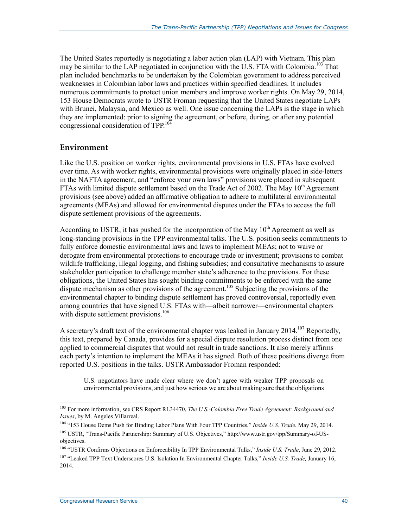The United States reportedly is negotiating a labor action plan (LAP) with Vietnam. This plan may be similar to the LAP negotiated in conjunction with the U.S. FTA with Colombia.<sup>103</sup> That plan included benchmarks to be undertaken by the Colombian government to address perceived weaknesses in Colombian labor laws and practices within specified deadlines. It includes numerous commitments to protect union members and improve worker rights. On May 29, 2014, 153 House Democrats wrote to USTR Froman requesting that the United States negotiate LAPs with Brunei, Malaysia, and Mexico as well. One issue concerning the LAPs is the stage in which they are implemented: prior to signing the agreement, or before, during, or after any potential congressional consideration of TPP.104

#### **Environment**

Like the U.S. position on worker rights, environmental provisions in U.S. FTAs have evolved over time. As with worker rights, environmental provisions were originally placed in side-letters in the NAFTA agreement, and "enforce your own laws" provisions were placed in subsequent FTAs with limited dispute settlement based on the Trade Act of 2002. The May  $10<sup>th</sup>$  Agreement provisions (see above) added an affirmative obligation to adhere to multilateral environmental agreements (MEAs) and allowed for environmental disputes under the FTAs to access the full dispute settlement provisions of the agreements.

According to USTR, it has pushed for the incorporation of the May  $10<sup>th</sup>$  Agreement as well as long-standing provisions in the TPP environmental talks. The U.S. position seeks commitments to fully enforce domestic environmental laws and laws to implement MEAs; not to waive or derogate from environmental protections to encourage trade or investment; provisions to combat wildlife trafficking, illegal logging, and fishing subsidies; and consultative mechanisms to assure stakeholder participation to challenge member state's adherence to the provisions. For these obligations, the United States has sought binding commitments to be enforced with the same dispute mechanism as other provisions of the agreement.<sup>105</sup> Subjecting the provisions of the environmental chapter to binding dispute settlement has proved controversial, reportedly even among countries that have signed U.S. FTAs with—albeit narrower—environmental chapters with dispute settlement provisions.<sup>106</sup>

A secretary's draft text of the environmental chapter was leaked in January 2014.<sup>107</sup> Reportedly, this text, prepared by Canada, provides for a special dispute resolution process distinct from one applied to commercial disputes that would not result in trade sanctions. It also merely affirms each party's intention to implement the MEAs it has signed. Both of these positions diverge from reported U.S. positions in the talks. USTR Ambassador Froman responded:

U.S. negotiators have made clear where we don't agree with weaker TPP proposals on environmental provisions, and just how serious we are about making sure that the obligations

<sup>103</sup> For more information, see CRS Report RL34470, *The U.S.-Colombia Free Trade Agreement: Background and Issues*, by M. Angeles Villarreal.

<sup>104 &</sup>quot;153 House Dems Push for Binding Labor Plans With Four TPP Countries," *Inside U.S. Trade*, May 29, 2014. 105 USTR, "Trans-Pacific Partnership: Summary of U.S. Objectives," http://www.ustr.gov/tpp/Summary-of-US-

objectives.

<sup>106 &</sup>quot;USTR Confirms Objections on Enforceability In TPP Environmental Talks," *Inside U.S. Trade*, June 29, 2012. 107 "Leaked TPP Text Underscores U.S. Isolation In Environmental Chapter Talks," *Inside U.S. Trade,* January 16,

<sup>2014.</sup>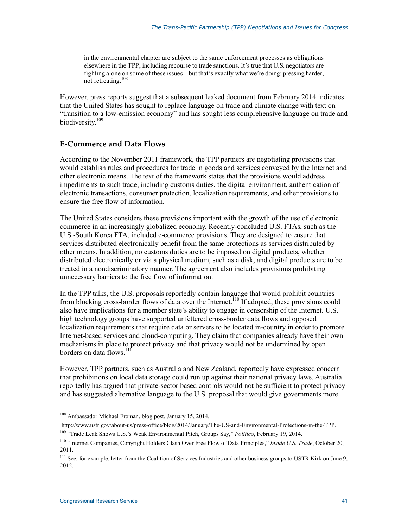in the environmental chapter are subject to the same enforcement processes as obligations elsewhere in the TPP, including recourse to trade sanctions. It's true that U.S. negotiators are fighting alone on some of these issues – but that's exactly what we're doing: pressing harder, not retreating.<sup>108</sup>

However, press reports suggest that a subsequent leaked document from February 2014 indicates that the United States has sought to replace language on trade and climate change with text on "transition to a low-emission economy" and has sought less comprehensive language on trade and biodiversity.109

#### **E-Commerce and Data Flows**

According to the November 2011 framework, the TPP partners are negotiating provisions that would establish rules and procedures for trade in goods and services conveyed by the Internet and other electronic means. The text of the framework states that the provisions would address impediments to such trade, including customs duties, the digital environment, authentication of electronic transactions, consumer protection, localization requirements, and other provisions to ensure the free flow of information.

The United States considers these provisions important with the growth of the use of electronic commerce in an increasingly globalized economy. Recently-concluded U.S. FTAs, such as the U.S.-South Korea FTA, included e-commerce provisions. They are designed to ensure that services distributed electronically benefit from the same protections as services distributed by other means. In addition, no customs duties are to be imposed on digital products, whether distributed electronically or via a physical medium, such as a disk, and digital products are to be treated in a nondiscriminatory manner. The agreement also includes provisions prohibiting unnecessary barriers to the free flow of information.

In the TPP talks, the U.S. proposals reportedly contain language that would prohibit countries from blocking cross-border flows of data over the Internet.<sup>110</sup> If adopted, these provisions could also have implications for a member state's ability to engage in censorship of the Internet. U.S. high technology groups have supported unfettered cross-border data flows and opposed localization requirements that require data or servers to be located in-country in order to promote Internet-based services and cloud-computing. They claim that companies already have their own mechanisms in place to protect privacy and that privacy would not be undermined by open borders on data flows.<sup>111</sup>

However, TPP partners, such as Australia and New Zealand, reportedly have expressed concern that prohibitions on local data storage could run up against their national privacy laws. Australia reportedly has argued that private-sector based controls would not be sufficient to protect privacy and has suggested alternative language to the U.S. proposal that would give governments more

<sup>108</sup> Ambassador Michael Froman, blog post, January 15, 2014,

http://www.ustr.gov/about-us/press-office/blog/2014/January/The-US-and-Environmental-Protections-in-the-TPP.

<sup>109 &</sup>quot;Trade Leak Shows U.S.'s Weak Environmental Pitch, Groups Say," *Politico*, February 19, 2014.

<sup>110 &</sup>quot;Internet Companies, Copyright Holders Clash Over Free Flow of Data Principles," *Inside U.S. Trade*, October 20, 2011.

<sup>&</sup>lt;sup>111</sup> See, for example, letter from the Coalition of Services Industries and other business groups to USTR Kirk on June 9, 2012.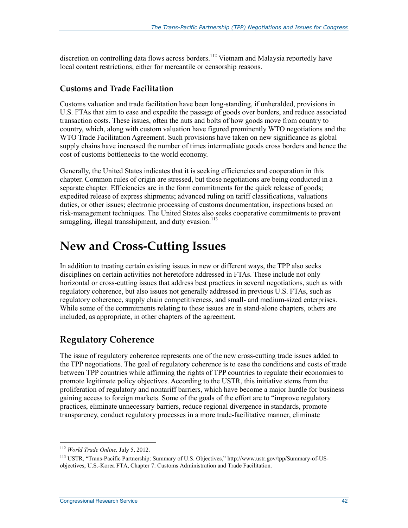discretion on controlling data flows across borders.<sup>112</sup> Vietnam and Malaysia reportedly have local content restrictions, either for mercantile or censorship reasons.

#### **Customs and Trade Facilitation**

Customs valuation and trade facilitation have been long-standing, if unheralded, provisions in U.S. FTAs that aim to ease and expedite the passage of goods over borders, and reduce associated transaction costs. These issues, often the nuts and bolts of how goods move from country to country, which, along with custom valuation have figured prominently WTO negotiations and the WTO Trade Facilitation Agreement. Such provisions have taken on new significance as global supply chains have increased the number of times intermediate goods cross borders and hence the cost of customs bottlenecks to the world economy.

Generally, the United States indicates that it is seeking efficiencies and cooperation in this chapter. Common rules of origin are stressed, but those negotiations are being conducted in a separate chapter. Efficiencies are in the form commitments for the quick release of goods; expedited release of express shipments; advanced ruling on tariff classifications, valuations duties, or other issues; electronic processing of customs documentation, inspections based on risk-management techniques. The United States also seeks cooperative commitments to prevent smuggling, illegal transshipment, and duty evasion. $113$ 

# **New and Cross-Cutting Issues**

In addition to treating certain existing issues in new or different ways, the TPP also seeks disciplines on certain activities not heretofore addressed in FTAs. These include not only horizontal or cross-cutting issues that address best practices in several negotiations, such as with regulatory coherence, but also issues not generally addressed in previous U.S. FTAs, such as regulatory coherence, supply chain competitiveness, and small- and medium-sized enterprises. While some of the commitments relating to these issues are in stand-alone chapters, others are included, as appropriate, in other chapters of the agreement.

## **Regulatory Coherence**

The issue of regulatory coherence represents one of the new cross-cutting trade issues added to the TPP negotiations. The goal of regulatory coherence is to ease the conditions and costs of trade between TPP countries while affirming the rights of TPP countries to regulate their economies to promote legitimate policy objectives. According to the USTR, this initiative stems from the proliferation of regulatory and nontariff barriers, which have become a major hurdle for business gaining access to foreign markets. Some of the goals of the effort are to "improve regulatory practices, eliminate unnecessary barriers, reduce regional divergence in standards, promote transparency, conduct regulatory processes in a more trade-facilitative manner, eliminate

<sup>112</sup> *World Trade Online,* July 5, 2012.

<sup>113</sup> USTR, "Trans-Pacific Partnership: Summary of U.S. Objectives," http://www.ustr.gov/tpp/Summary-of-USobjectives; U.S.-Korea FTA, Chapter 7: Customs Administration and Trade Facilitation.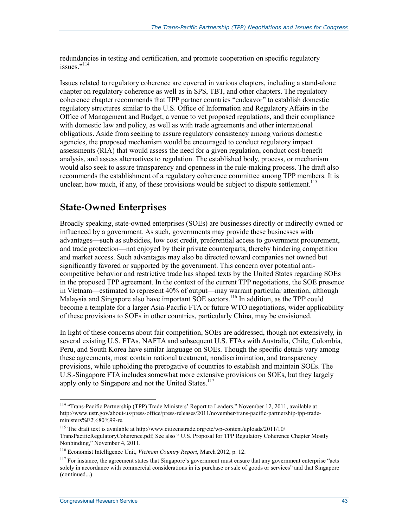redundancies in testing and certification, and promote cooperation on specific regulatory issues<sup>"114</sup>

Issues related to regulatory coherence are covered in various chapters, including a stand-alone chapter on regulatory coherence as well as in SPS, TBT, and other chapters. The regulatory coherence chapter recommends that TPP partner countries "endeavor" to establish domestic regulatory structures similar to the U.S. Office of Information and Regulatory Affairs in the Office of Management and Budget, a venue to vet proposed regulations, and their compliance with domestic law and policy, as well as with trade agreements and other international obligations. Aside from seeking to assure regulatory consistency among various domestic agencies, the proposed mechanism would be encouraged to conduct regulatory impact assessments (RIA) that would assess the need for a given regulation, conduct cost-benefit analysis, and assess alternatives to regulation. The established body, process, or mechanism would also seek to assure transparency and openness in the rule-making process. The draft also recommends the establishment of a regulatory coherence committee among TPP members. It is unclear, how much, if any, of these provisions would be subject to dispute settlement.<sup>115</sup>

## **State-Owned Enterprises**

Broadly speaking, state-owned enterprises (SOEs) are businesses directly or indirectly owned or influenced by a government. As such, governments may provide these businesses with advantages—such as subsidies, low cost credit, preferential access to government procurement, and trade protection—not enjoyed by their private counterparts, thereby hindering competition and market access. Such advantages may also be directed toward companies not owned but significantly favored or supported by the government. This concern over potential anticompetitive behavior and restrictive trade has shaped texts by the United States regarding SOEs in the proposed TPP agreement. In the context of the current TPP negotiations, the SOE presence in Vietnam—estimated to represent 40% of output—may warrant particular attention, although Malaysia and Singapore also have important SOE sectors.<sup>116</sup> In addition, as the TPP could become a template for a larger Asia-Pacific FTA or future WTO negotiations, wider applicability of these provisions to SOEs in other countries, particularly China, may be envisioned.

In light of these concerns about fair competition, SOEs are addressed, though not extensively, in several existing U.S. FTAs. NAFTA and subsequent U.S. FTAs with Australia, Chile, Colombia, Peru, and South Korea have similar language on SOEs. Though the specific details vary among these agreements, most contain national treatment, nondiscrimination, and transparency provisions, while upholding the prerogative of countries to establish and maintain SOEs. The U.S.-Singapore FTA includes somewhat more extensive provisions on SOEs, but they largely apply only to Singapore and not the United States.<sup>117</sup>

<sup>&</sup>lt;sup>114</sup> "Trans-Pacific Partnership (TPP) Trade Ministers' Report to Leaders," November 12, 2011, available at http://www.ustr.gov/about-us/press-office/press-releases/2011/november/trans-pacific-partnership-tpp-tradeministers%E2%80%99-re.

<sup>115</sup> The draft text is available at http://www.citizenstrade.org/ctc/wp-content/uploads/2011/10/ TransPacificRegulatoryCoherence.pdf; See also " U.S. Proposal for TPP Regulatory Coherence Chapter Mostly Nonbinding," November 4, 2011.

<sup>116</sup> Economist Intelligence Unit, *Vietnam Country Report*, March 2012, p. 12.

 $117$  For instance, the agreement states that Singapore's government must ensure that any government enterprise "acts" solely in accordance with commercial considerations in its purchase or sale of goods or services" and that Singapore (continued...)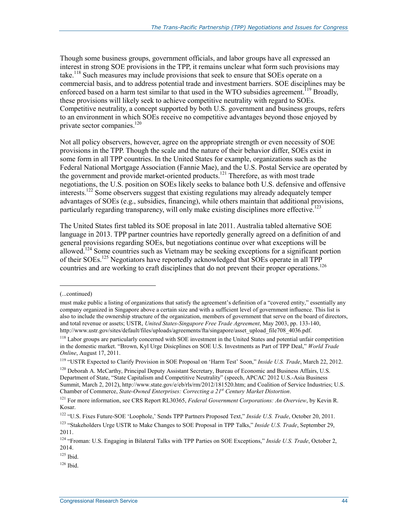Though some business groups, government officials, and labor groups have all expressed an interest in strong SOE provisions in the TPP, it remains unclear what form such provisions may take.<sup>118</sup> Such measures may include provisions that seek to ensure that SOEs operate on a commercial basis, and to address potential trade and investment barriers. SOE disciplines may be enforced based on a harm test similar to that used in the WTO subsidies agreement.<sup>119</sup> Broadly, these provisions will likely seek to achieve competitive neutrality with regard to SOEs. Competitive neutrality, a concept supported by both U.S. government and business groups, refers to an environment in which SOEs receive no competitive advantages beyond those enjoyed by private sector companies.<sup>120</sup>

Not all policy observers, however, agree on the appropriate strength or even necessity of SOE provisions in the TPP. Though the scale and the nature of their behavior differ, SOEs exist in some form in all TPP countries. In the United States for example, organizations such as the Federal National Mortgage Association (Fannie Mae), and the U.S. Postal Service are operated by the government and provide market-oriented products.<sup>121</sup> Therefore, as with most trade negotiations, the U.S. position on SOEs likely seeks to balance both U.S. defensive and offensive interests.122 Some observers suggest that existing regulations may already adequately temper advantages of SOEs (e.g., subsidies, financing), while others maintain that additional provisions, particularly regarding transparency, will only make existing disciplines more effective.<sup>123</sup>

The United States first tabled its SOE proposal in late 2011. Australia tabled alternative SOE language in 2013. TPP partner countries have reportedly generally agreed on a definition of and general provisions regarding SOEs, but negotiations continue over what exceptions will be allowed.<sup>124</sup> Some countries such as Vietnam may be seeking exceptions for a significant portion of their SOEs.125 Negotiators have reportedly acknowledged that SOEs operate in all TPP countries and are working to craft disciplines that do not prevent their proper operations.<sup>126</sup>

1

<sup>120</sup> Deborah A. McCarthy, Principal Deputy Assistant Secretary, Bureau of Economic and Business Affairs, U.S. Department of State, "State Capitalism and Competitive Neutrality" (speech, APCAC 2012 U.S.-Asia Business Summit, March 2, 2012), http://www.state.gov/e/eb/rls/rm/2012/181520.htm; and Coalition of Service Industries; U.S. Chamber of Commerce, *State-Owned Enterprises: Correcting a 21st Century Market Distortion*.

125 Ibid.

<sup>(...</sup>continued)

must make public a listing of organizations that satisfy the agreement's definition of a "covered entity," essentially any company organized in Singapore above a certain size and with a sufficient level of government influence. This list is also to include the ownership structure of the organization, members of government that serve on the board of directors, and total revenue or assets; USTR, *United States-Singapore Free Trade Agreement*, May 2003, pp. 133-140, http://www.ustr.gov/sites/default/files/uploads/agreements/fta/singapore/asset\_upload\_file708\_4036.pdf.

<sup>&</sup>lt;sup>118</sup> Labor groups are particularly concerned with SOE investment in the United States and potential unfair competition in the domestic market. "Brown, Kyl Urge Disicplines on SOE U.S. Investments as Part of TPP Deal," *World Trade Online*, August 17, 2011.

<sup>119 &</sup>quot;USTR Expected to Clarify Provision in SOE Proposal on 'Harm Test' Soon," *Inside U.S. Trade*, March 22, 2012.

<sup>121</sup> For more information, see CRS Report RL30365, *Federal Government Corporations: An Overview*, by Kevin R. Kosar.

<sup>122 &</sup>quot;U.S. Fixes Future-SOE 'Loophole,' Sends TPP Partners Proposed Text," *Inside U.S. Trade*, October 20, 2011.

<sup>123 &</sup>quot;Stakeholders Urge USTR to Make Changes to SOE Proposal in TPP Talks," *Inside U.S. Trade*, September 29, 2011.

<sup>124 &</sup>quot;Froman: U.S. Engaging in Bilateral Talks with TPP Parties on SOE Exceptions," *Inside U.S. Trade*, October 2, 2014.

 $126$  Ibid.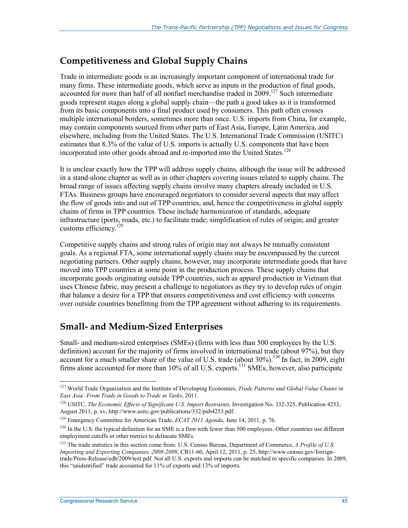## **Competitiveness and Global Supply Chains**

Trade in intermediate goods is an increasingly important component of international trade for many firms. These intermediate goods, which serve as inputs in the production of final goods, accounted for more than half of all nonfuel merchandise traded in 2009.<sup>127</sup> Such intermediate goods represent stages along a global supply chain—the path a good takes as it is transformed from its basic components into a final product used by consumers. This path often crosses multiple international borders, sometimes more than once. U.S. imports from China, for example, may contain components sourced from other parts of East Asia, Europe, Latin America, and elsewhere, including from the United States. The U.S. International Trade Commission (USITC) estimates that 8.3% of the value of U.S. imports is actually U.S. components that have been incorporated into other goods abroad and re-imported into the United States.<sup>128</sup>

It is unclear exactly how the TPP will address supply chains, although the issue will be addressed in a stand-alone chapter as well as in other chapters covering issues related to supply chains. The broad range of issues affecting supply chains involve many chapters already included in U.S. FTAs. Business groups have encouraged negotiators to consider several aspects that may affect the flow of goods into and out of TPP countries, and, hence the competitiveness in global supply chains of firms in TPP countries. These include harmonization of standards, adequate infrastructure (ports, roads, etc.) to facilitate trade; simplification of rules of origin; and greater customs efficiency.<sup>129</sup>

Competitive supply chains and strong rules of origin may not always be mutually consistent goals. As a regional FTA, some international supply chains may be encompassed by the current negotiating partners. Other supply chains, however, may incorporate intermediate goods that have moved into TPP countries at some point in the production process. These supply chains that incorporate goods originating outside TPP countries, such as apparel production in Vietnam that uses Chinese fabric, may present a challenge to negotiators as they try to develop rules of origin that balance a desire for a TPP that ensures competitiveness and cost efficiency with concerns over outside countries benefitting from the TPP agreement without adhering to its requirements.

## **Small- and Medium-Sized Enterprises**

Small- and medium-sized enterprises (SMEs) (firms with less than 500 employees by the U.S. definition) account for the majority of firms involved in international trade (about 97%), but they account for a much smaller share of the value of U.S. trade (about 30%).<sup>130</sup> In fact, in 2009, eight firms alone accounted for more than 10% of all U.S. exports.<sup>131</sup> SMEs, however, also participate

<u>.</u>

<sup>&</sup>lt;sup>127</sup> World Trade Organization and the Institute of Developing Economies, *Trade Patterns and Global Value Chains in East Asia: From Trade in Goods to Trade in Tasks*, 2011.

<sup>128</sup> USITC, *The Economic Effects of Significant U.S. Import Restraints*, Investigation No. 332-325, Publication 4253, August 2011, p. xv, http://www.usitc.gov/publications/332/pub4253.pdf.

<sup>129</sup> Emergency Committee for American Trade, *ECAT 2011 Agenda*, June 14, 2011, p. 76.

<sup>&</sup>lt;sup>130</sup> In the U.S. the typical definition for an SME is a firm with fewer than 500 employees. Other countries use different employment cutoffs or other metrics to delineate SMEs.

<sup>&</sup>lt;sup>131</sup> The trade statistics in this section come from: U.S. Census Bureau, Department of Commerce, *A Profile of U.S. Importing and Exporting Companies, 2008-2009*, CB11-60, April 12, 2011, p. 25, http://www.census.gov/foreigntrade/Press-Release/edb/2009/text.pdf. Not all U.S. exports and imports can be matched to specific companies. In 2009, this "unidentified" trade accounted for 11% of exports and 13% of imports.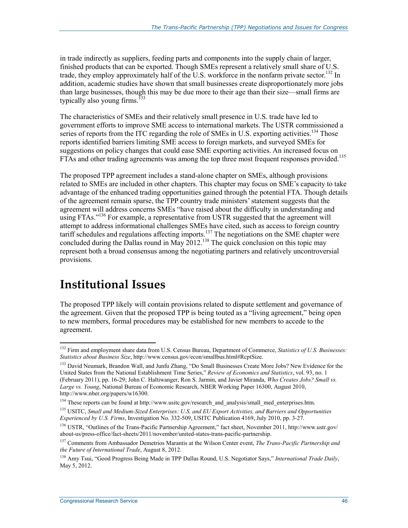in trade indirectly as suppliers, feeding parts and components into the supply chain of larger, finished products that can be exported. Though SMEs represent a relatively small share of U.S. trade, they employ approximately half of the U.S. workforce in the nonfarm private sector.<sup>132</sup> In addition, academic studies have shown that small businesses create disproportionately more jobs than large businesses, though this may be due more to their age than their size—small firms are typically also young firms.<sup> $133$ </sup>

The characteristics of SMEs and their relatively small presence in U.S. trade have led to government efforts to improve SME access to international markets. The USTR commissioned a series of reports from the ITC regarding the role of SMEs in U.S. exporting activities.<sup>134</sup> Those reports identified barriers limiting SME access to foreign markets, and surveyed SMEs for suggestions on policy changes that could ease SME exporting activities. An increased focus on FTAs and other trading agreements was among the top three most frequent responses provided.<sup>135</sup>

The proposed TPP agreement includes a stand-alone chapter on SMEs, although provisions related to SMEs are included in other chapters. This chapter may focus on SME's capacity to take advantage of the enhanced trading opportunities gained through the potential FTA. Though details of the agreement remain sparse, the TPP country trade ministers' statement suggests that the agreement will address concerns SMEs "have raised about the difficulty in understanding and using FTAs.<sup>"136</sup> For example, a representative from USTR suggested that the agreement will attempt to address informational challenges SMEs have cited, such as access to foreign country tariff schedules and regulations affecting imports.<sup>137</sup> The negotiations on the SME chapter were concluded during the Dallas round in May 2012.<sup>138</sup> The quick conclusion on this topic may represent both a broad consensus among the negotiating partners and relatively uncontroversial provisions.

# **Institutional Issues**

<u>.</u>

The proposed TPP likely will contain provisions related to dispute settlement and governance of the agreement. Given that the proposed TPP is being touted as a "living agreement," being open to new members, formal procedures may be established for new members to accede to the agreement.

<sup>132</sup> Firm and employment share data from U.S. Census Bureau, Department of Commerce, *Statistics of U.S. Businesses: Statistics about Business Size*, http://www.census.gov/econ/smallbus.html#RcptSize.

<sup>&</sup>lt;sup>133</sup> David Neumark, Brandon Wall, and Junfu Zhang, "Do Small Businesses Create More Jobs? New Evidence for the United States from the National Establishment Time Series," *Review of Economics and Statistics*, vol. 93, no. 1 (February 2011), pp. 16-29; John C. Haltiwanger, Ron S. Jarmin, and Javier Miranda, *Who Creates Jobs? Small vs. Large vs. Young*, National Bureau of Economic Research, NBER Working Paper 16300, August 2010, http://www.nber.org/papers/w16300.

<sup>&</sup>lt;sup>134</sup> These reports can be found at http://www.usitc.gov/research\_and\_analysis/small\_med\_enterprises.htm.

<sup>135</sup> USITC, *Small and Medium-Sized Enterprises: U.S. and EU Export Activities, and Barriers and Opportunities Experienced by U.S. Firms*, Investigation No. 332-509, USITC Publication 4169, July 2010, pp. 3-27.

<sup>136</sup> USTR, "Outlines of the Trans-Pacific Partnership Agreement," fact sheet, November 2011, http://www.ustr.gov/ about-us/press-office/fact-sheets/2011/november/united-states-trans-pacific-partnership.

<sup>137</sup> Comments from Ambassador Demetrios Marantis at the Wilson Center event, *The Trans-Pacific Partnership and the Future of International Trade*, August 8, 2012.

<sup>138</sup> Amy Tsui, "Good Progress Being Made in TPP Dallas Round, U.S. Negotiator Says," *International Trade Daily*, May 5, 2012.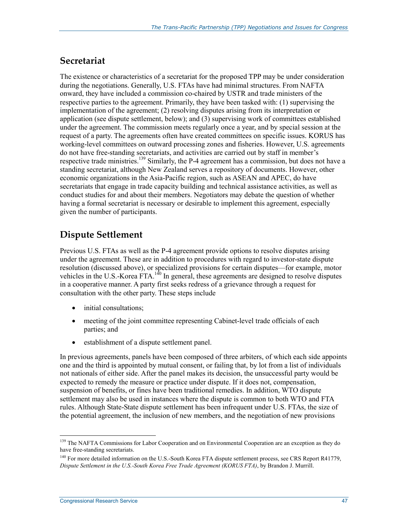## **Secretariat**

The existence or characteristics of a secretariat for the proposed TPP may be under consideration during the negotiations. Generally, U.S. FTAs have had minimal structures. From NAFTA onward, they have included a commission co-chaired by USTR and trade ministers of the respective parties to the agreement. Primarily, they have been tasked with: (1) supervising the implementation of the agreement; (2) resolving disputes arising from its interpretation or application (see dispute settlement, below); and (3) supervising work of committees established under the agreement. The commission meets regularly once a year, and by special session at the request of a party. The agreements often have created committees on specific issues. KORUS has working-level committees on outward processing zones and fisheries. However, U.S. agreements do not have free-standing secretariats, and activities are carried out by staff in member's respective trade ministries.<sup>139</sup> Similarly, the P-4 agreement has a commission, but does not have a standing secretariat, although New Zealand serves a repository of documents. However, other economic organizations in the Asia-Pacific region, such as ASEAN and APEC, do have secretariats that engage in trade capacity building and technical assistance activities, as well as conduct studies for and about their members. Negotiators may debate the question of whether having a formal secretariat is necessary or desirable to implement this agreement, especially given the number of participants.

## **Dispute Settlement**

Previous U.S. FTAs as well as the P-4 agreement provide options to resolve disputes arising under the agreement. These are in addition to procedures with regard to investor-state dispute resolution (discussed above), or specialized provisions for certain disputes—for example, motor vehicles in the U.S.-Korea  $\overline{FTA}$ .<sup>140</sup> In general, these agreements are designed to resolve disputes in a cooperative manner. A party first seeks redress of a grievance through a request for consultation with the other party. These steps include

- initial consultations;
- meeting of the joint committee representing Cabinet-level trade officials of each parties; and
- establishment of a dispute settlement panel.

In previous agreements, panels have been composed of three arbiters, of which each side appoints one and the third is appointed by mutual consent, or failing that, by lot from a list of individuals not nationals of either side. After the panel makes its decision, the unsuccessful party would be expected to remedy the measure or practice under dispute. If it does not, compensation, suspension of benefits, or fines have been traditional remedies. In addition, WTO dispute settlement may also be used in instances where the dispute is common to both WTO and FTA rules. Although State-State dispute settlement has been infrequent under U.S. FTAs, the size of the potential agreement, the inclusion of new members, and the negotiation of new provisions

<sup>&</sup>lt;sup>139</sup> The NAFTA Commissions for Labor Cooperation and on Environmental Cooperation are an exception as they do have free-standing secretariats.

<sup>&</sup>lt;sup>140</sup> For more detailed information on the U.S.-South Korea FTA dispute settlement process, see CRS Report R41779, *Dispute Settlement in the U.S.-South Korea Free Trade Agreement (KORUS FTA)*, by Brandon J. Murrill.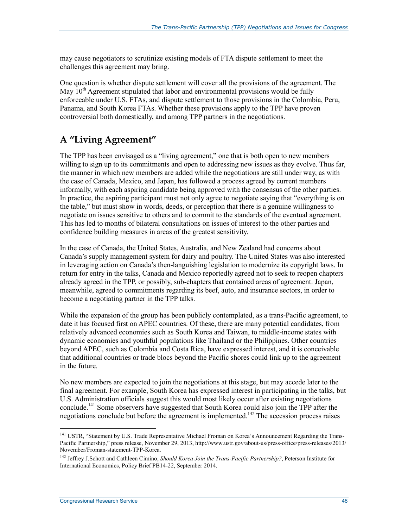may cause negotiators to scrutinize existing models of FTA dispute settlement to meet the challenges this agreement may bring.

One question is whether dispute settlement will cover all the provisions of the agreement. The May  $10<sup>th</sup>$  Agreement stipulated that labor and environmental provisions would be fully enforceable under U.S. FTAs, and dispute settlement to those provisions in the Colombia, Peru, Panama, and South Korea FTAs. Whether these provisions apply to the TPP have proven controversial both domestically, and among TPP partners in the negotiations.

## **A "Living Agreement"**

The TPP has been envisaged as a "living agreement," one that is both open to new members willing to sign up to its commitments and open to addressing new issues as they evolve. Thus far, the manner in which new members are added while the negotiations are still under way, as with the case of Canada, Mexico, and Japan, has followed a process agreed by current members informally, with each aspiring candidate being approved with the consensus of the other parties. In practice, the aspiring participant must not only agree to negotiate saying that "everything is on the table," but must show in words, deeds, or perception that there is a genuine willingness to negotiate on issues sensitive to others and to commit to the standards of the eventual agreement. This has led to months of bilateral consultations on issues of interest to the other parties and confidence building measures in areas of the greatest sensitivity.

In the case of Canada, the United States, Australia, and New Zealand had concerns about Canada's supply management system for dairy and poultry. The United States was also interested in leveraging action on Canada's then-languishing legislation to modernize its copyright laws. In return for entry in the talks, Canada and Mexico reportedly agreed not to seek to reopen chapters already agreed in the TPP, or possibly, sub-chapters that contained areas of agreement. Japan, meanwhile, agreed to commitments regarding its beef, auto, and insurance sectors, in order to become a negotiating partner in the TPP talks.

While the expansion of the group has been publicly contemplated, as a trans-Pacific agreement, to date it has focused first on APEC countries. Of these, there are many potential candidates, from relatively advanced economies such as South Korea and Taiwan, to middle-income states with dynamic economies and youthful populations like Thailand or the Philippines. Other countries beyond APEC, such as Colombia and Costa Rica, have expressed interest, and it is conceivable that additional countries or trade blocs beyond the Pacific shores could link up to the agreement in the future.

No new members are expected to join the negotiations at this stage, but may accede later to the final agreement. For example, South Korea has expressed interest in participating in the talks, but U.S. Administration officials suggest this would most likely occur after existing negotiations conclude.<sup>141</sup> Some observers have suggested that South Korea could also join the TPP after the negotiations conclude but before the agreement is implemented.<sup>142</sup> The accession process raises

<sup>&</sup>lt;sup>141</sup> USTR, "Statement by U.S. Trade Representative Michael Froman on Korea's Announcement Regarding the Trans-Pacific Partnership," press release, November 29, 2013, http://www.ustr.gov/about-us/press-office/press-releases/2013/ November/Froman-statement-TPP-Korea.

<sup>142</sup> Jeffrey J.Schott and Cathleen Cimino, *Should Korea Join the Trans-Pacific Partnership?*, Peterson Institute for International Economics, Policy Brief PB14-22, September 2014.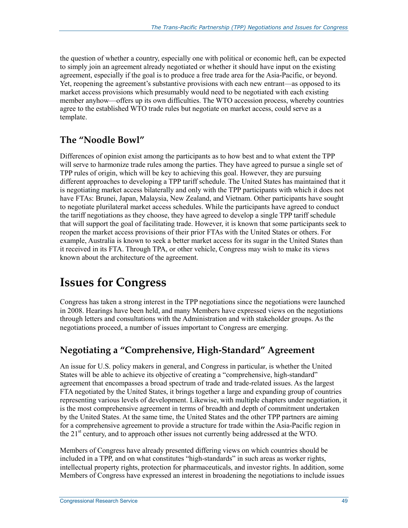the question of whether a country, especially one with political or economic heft, can be expected to simply join an agreement already negotiated or whether it should have input on the existing agreement, especially if the goal is to produce a free trade area for the Asia-Pacific, or beyond. Yet, reopening the agreement's substantive provisions with each new entrant—as opposed to its market access provisions which presumably would need to be negotiated with each existing member anyhow—offers up its own difficulties. The WTO accession process, whereby countries agree to the established WTO trade rules but negotiate on market access, could serve as a template.

## **The "Noodle Bowl"**

Differences of opinion exist among the participants as to how best and to what extent the TPP will serve to harmonize trade rules among the parties. They have agreed to pursue a single set of TPP rules of origin, which will be key to achieving this goal. However, they are pursuing different approaches to developing a TPP tariff schedule. The United States has maintained that it is negotiating market access bilaterally and only with the TPP participants with which it does not have FTAs: Brunei, Japan, Malaysia, New Zealand, and Vietnam. Other participants have sought to negotiate plurilateral market access schedules. While the participants have agreed to conduct the tariff negotiations as they choose, they have agreed to develop a single TPP tariff schedule that will support the goal of facilitating trade. However, it is known that some participants seek to reopen the market access provisions of their prior FTAs with the United States or others. For example, Australia is known to seek a better market access for its sugar in the United States than it received in its FTA. Through TPA, or other vehicle, Congress may wish to make its views known about the architecture of the agreement.

# **Issues for Congress**

Congress has taken a strong interest in the TPP negotiations since the negotiations were launched in 2008. Hearings have been held, and many Members have expressed views on the negotiations through letters and consultations with the Administration and with stakeholder groups. As the negotiations proceed, a number of issues important to Congress are emerging.

## **Negotiating a "Comprehensive, High-Standard" Agreement**

An issue for U.S. policy makers in general, and Congress in particular, is whether the United States will be able to achieve its objective of creating a "comprehensive, high-standard" agreement that encompasses a broad spectrum of trade and trade-related issues. As the largest FTA negotiated by the United States, it brings together a large and expanding group of countries representing various levels of development. Likewise, with multiple chapters under negotiation, it is the most comprehensive agreement in terms of breadth and depth of commitment undertaken by the United States. At the same time, the United States and the other TPP partners are aiming for a comprehensive agreement to provide a structure for trade within the Asia-Pacific region in the  $21<sup>st</sup>$  century, and to approach other issues not currently being addressed at the WTO.

Members of Congress have already presented differing views on which countries should be included in a TPP, and on what constitutes "high-standards" in such areas as worker rights, intellectual property rights, protection for pharmaceuticals, and investor rights. In addition, some Members of Congress have expressed an interest in broadening the negotiations to include issues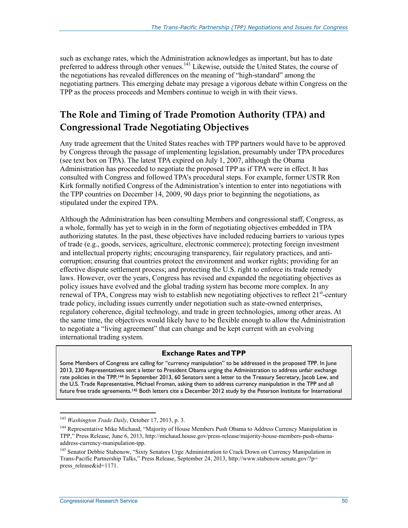such as exchange rates, which the Administration acknowledges as important, but has to date preferred to address through other venues.<sup>143</sup> Likewise, outside the United States, the course of the negotiations has revealed differences on the meaning of "high-standard" among the negotiating partners. This emerging debate may presage a vigorous debate within Congress on the TPP as the process proceeds and Members continue to weigh in with their views.

## **The Role and Timing of Trade Promotion Authority (TPA) and Congressional Trade Negotiating Objectives**

Any trade agreement that the United States reaches with TPP partners would have to be approved by Congress through the passage of implementing legislation, presumably under TPA procedures (see text box on TPA). The latest TPA expired on July 1, 2007, although the Obama Administration has proceeded to negotiate the proposed TPP as if TPA were in effect. It has consulted with Congress and followed TPA's procedural steps. For example, former USTR Ron Kirk formally notified Congress of the Administration's intention to enter into negotiations with the TPP countries on December 14, 2009, 90 days prior to beginning the negotiations, as stipulated under the expired TPA.

Although the Administration has been consulting Members and congressional staff, Congress, as a whole, formally has yet to weigh in in the form of negotiating objectives embedded in TPA authorizing statutes. In the past, these objectives have included reducing barriers to various types of trade (e.g., goods, services, agriculture, electronic commerce); protecting foreign investment and intellectual property rights; encouraging transparency, fair regulatory practices, and anticorruption; ensuring that countries protect the environment and worker rights; providing for an effective dispute settlement process; and protecting the U.S. right to enforce its trade remedy laws. However, over the years, Congress has revised and expanded the negotiating objectives as policy issues have evolved and the global trading system has become more complex. In any renewal of TPA, Congress may wish to establish new negotiating objectives to reflect  $21^{st}$ -century trade policy, including issues currently under negotiation such as state-owned enterprises, regulatory coherence, digital technology, and trade in green technologies, among other areas. At the same time, the objectives would likely have to be flexible enough to allow the Administration to negotiate a "living agreement" that can change and be kept current with an evolving international trading system.

#### **Exchange Rates and TPP**

Some Members of Congress are calling for "currency manipulation" to be addressed in the proposed TPP. In June 2013, 230 Representatives sent a letter to President Obama urging the Administration to address unfair exchange rate policies in the TPP.<sup>144</sup> In September 2013, 60 Senators sent a letter to the Treasury Secretary, Jacob Lew, and the U.S. Trade Representative, Michael Froman, asking them to address currency manipulation in the TPP and all future free trade agreements.<sup>145</sup> Both letters cite a December 2012 study by the Peterson Institute for International

<sup>143</sup> *Washington Trade Daily*, October 17, 2013, p. 3.

<sup>&</sup>lt;sup>144</sup> Representative Mike Michaud, "Majority of House Members Push Obama to Address Currency Manipulation in TPP," Press Release, June 6, 2013, http://michaud.house.gov/press-release/majority-house-members-push-obamaaddress-currency-manipulation-tpp.

<sup>145</sup> Senator Debbie Stabenow, "Sixty Senators Urge Administration to Crack Down on Currency Manipulation in Trans-Pacific Partnership Talks," Press Release, September 24, 2013, http://www.stabenow.senate.gov/?p= press\_release&id=1171.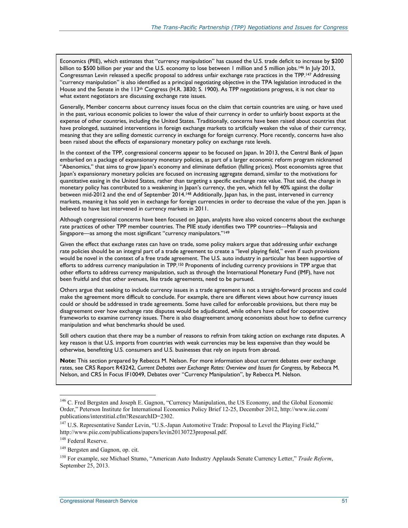Economics (PIIE), which estimates that "currency manipulation" has caused the U.S. trade deficit to increase by \$200 billion to \$500 billion per year and the U.S. economy to lose between 1 million and 5 million jobs.<sup>146</sup> In July 2013, Congressman Levin released a specific proposal to address unfair exchange rate practices in the TPP.147 Addressing "currency manipulation" is also identified as a principal negotiating objective in the TPA legislation introduced in the House and the Senate in the 113<sup>th</sup> Congress (H.R. 3830; S. 1900). As TPP negotiations progress, it is not clear to what extent negotiators are discussing exchange rate issues.

Generally, Member concerns about currency issues focus on the claim that certain countries are using, or have used in the past, various economic policies to lower the value of their currency in order to unfairly boost exports at the expense of other countries, including the United States. Traditionally, concerns have been raised about countries that have prolonged, sustained interventions in foreign exchange markets to artificially weaken the value of their currency, meaning that they are selling domestic currency in exchange for foreign currency. More recently, concerns have also been raised about the effects of expansionary monetary policy on exchange rate levels.

In the context of the TPP, congressional concerns appear to be focused on Japan. In 2013, the Central Bank of Japan embarked on a package of expansionary monetary policies, as part of a larger economic reform program nicknamed "Abenomics," that aims to grow Japan's economy and eliminate deflation (falling prices). Most economists agree that Japan's expansionary monetary policies are focused on increasing aggregate demand, similar to the motivations for quantitative easing in the United States, rather than targeting a specific exchange rate value. That said, the change in monetary policy has contributed to a weakening in Japan's currency, the yen, which fell by 40% against the dollar between mid-2012 and the end of September 2014.148 Additionally, Japan has, in the past, intervened in currency markets, meaning it has sold yen in exchange for foreign currencies in order to decrease the value of the yen. Japan is believed to have last intervened in currency markets in 2011.

Although congressional concerns have been focused on Japan, analysts have also voiced concerns about the exchange rate practices of other TPP member countries. The PIIE study identifies two TPP countries—Malaysia and Singapore—as among the most significant "currency manipulators."149

Given the effect that exchange rates can have on trade, some policy makers argue that addressing unfair exchange rate policies should be an integral part of a trade agreement to create a "level playing field," even if such provisions would be novel in the context of a free trade agreement. The U.S. auto industry in particular has been supportive of efforts to address currency manipulation in TPP.150 Proponents of including currency provisions in TPP argue that other efforts to address currency manipulation, such as through the International Monetary Fund (IMF), have not been fruitful and that other avenues, like trade agreements, need to be pursued.

Others argue that seeking to include currency issues in a trade agreement is not a straight-forward process and could make the agreement more difficult to conclude. For example, there are different views about how currency issues could or should be addressed in trade agreements. Some have called for enforceable provisions, but there may be disagreement over how exchange rate disputes would be adjudicated, while others have called for cooperative frameworks to examine currency issues. There is also disagreement among economists about how to define currency manipulation and what benchmarks should be used.

Still others caution that there may be a number of reasons to refrain from taking action on exchange rate disputes. A key reason is that U.S. imports from countries with weak currencies may be less expensive than they would be otherwise, benefitting U.S. consumers and U.S. businesses that rely on inputs from abroad.

**Note:** This section prepared by Rebecca M. Nelson. For more information about current debates over exchange rates, see CRS Report R43242, *Current Debates over Exchange Rates: Overview and Issues for Congress*, by Rebecca M. Nelson, and CRS In Focus IF10049, Debates over "Currency Manipulation", by Rebecca M. Nelson.

<sup>&</sup>lt;sup>146</sup> C. Fred Bergsten and Joseph E. Gagnon, "Currency Manipulation, the US Economy, and the Global Economic Order," Peterson Institute for International Economics Policy Brief 12-25, December 2012, http://www.iie.com/ publications/interstitial.cfm?ResearchID=2302.

<sup>&</sup>lt;sup>147</sup> U.S. Representative Sander Levin, "U.S.-Japan Automotive Trade: Proposal to Level the Playing Field," http://www.piie.com/publications/papers/levin20130723proposal.pdf.

<sup>&</sup>lt;sup>148</sup> Federal Reserve.

<sup>149</sup> Bergsten and Gagnon, op. cit.

<sup>150</sup> For example, see Michael Stumo, "American Auto Industry Applauds Senate Currency Letter," *Trade Reform*, September 25, 2013.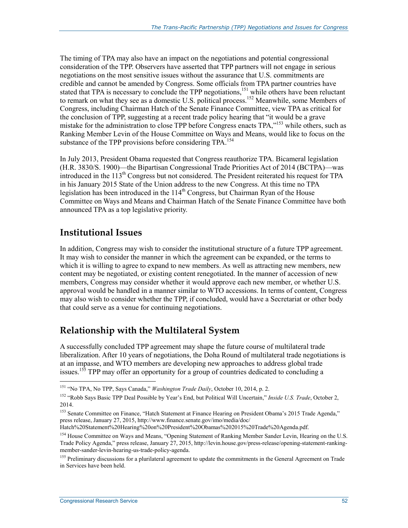The timing of TPA may also have an impact on the negotiations and potential congressional consideration of the TPP. Observers have asserted that TPP partners will not engage in serious negotiations on the most sensitive issues without the assurance that U.S. commitments are credible and cannot be amended by Congress. Some officials from TPA partner countries have stated that TPA is necessary to conclude the TPP negotiations,<sup>151</sup> while others have been reluctant to remark on what they see as a domestic U.S. political process.<sup>152</sup> Meanwhile, some Members of Congress, including Chairman Hatch of the Senate Finance Committee, view TPA as critical for the conclusion of TPP, suggesting at a recent trade policy hearing that "it would be a grave mistake for the administration to close TPP before Congress enacts TPA,"153 while others, such as Ranking Member Levin of the House Committee on Ways and Means, would like to focus on the substance of the TPP provisions before considering TPA.<sup>154</sup>

In July 2013, President Obama requested that Congress reauthorize TPA. Bicameral legislation (H.R. 3830/S. 1900)—the Bipartisan Congressional Trade Priorities Act of 2014 (BCTPA)—was introduced in the 113<sup>th</sup> Congress but not considered. The President reiterated his request for TPA in his January 2015 State of the Union address to the new Congress. At this time no TPA legislation has been introduced in the  $114<sup>th</sup>$  Congress, but Chairman Ryan of the House Committee on Ways and Means and Chairman Hatch of the Senate Finance Committee have both announced TPA as a top legislative priority.

## **Institutional Issues**

In addition, Congress may wish to consider the institutional structure of a future TPP agreement. It may wish to consider the manner in which the agreement can be expanded, or the terms to which it is willing to agree to expand to new members. As well as attracting new members, new content may be negotiated, or existing content renegotiated. In the manner of accession of new members, Congress may consider whether it would approve each new member, or whether U.S. approval would be handled in a manner similar to WTO accessions. In terms of content, Congress may also wish to consider whether the TPP, if concluded, would have a Secretariat or other body that could serve as a venue for continuing negotiations.

## **Relationship with the Multilateral System**

A successfully concluded TPP agreement may shape the future course of multilateral trade liberalization. After 10 years of negotiations, the Doha Round of multilateral trade negotiations is at an impasse, and WTO members are developing new approaches to address global trade issues.<sup>155</sup> TPP may offer an opportunity for a group of countries dedicated to concluding a

Hatch%20Statement%20Hearing%20on%20President%20Obamas%202015%20Trade%20Agenda.pdf.

<sup>151 &</sup>quot;No TPA, No TPP, Says Canada," *Washington Trade Daily*, October 10, 2014, p. 2.

<sup>152 &</sup>quot;Robb Says Basic TPP Deal Possible by Year's End, but Political Will Uncertain," *Inside U.S. Trade*, October 2, 2014.

<sup>&</sup>lt;sup>153</sup> Senate Committee on Finance, "Hatch Statement at Finance Hearing on President Obama's 2015 Trade Agenda," press release, January 27, 2015, http://www.finance.senate.gov/imo/media/doc/

<sup>&</sup>lt;sup>154</sup> House Committee on Ways and Means, "Opening Statement of Ranking Member Sander Levin, Hearing on the U.S. Trade Policy Agenda," press release, January 27, 2015, http://levin.house.gov/press-release/opening-statement-rankingmember-sander-levin-hearing-us-trade-policy-agenda.

<sup>&</sup>lt;sup>155</sup> Preliminary discussions for a plurilateral agreement to update the commitments in the General Agreement on Trade in Services have been held.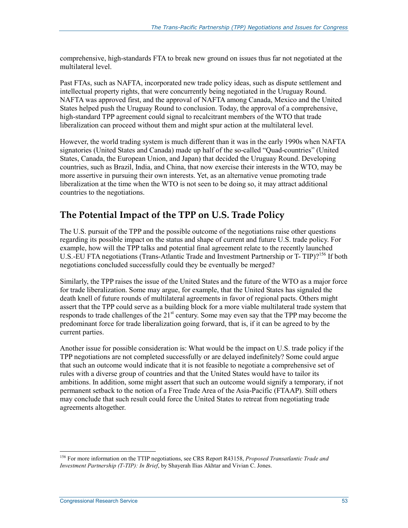comprehensive, high-standards FTA to break new ground on issues thus far not negotiated at the multilateral level.

Past FTAs, such as NAFTA, incorporated new trade policy ideas, such as dispute settlement and intellectual property rights, that were concurrently being negotiated in the Uruguay Round. NAFTA was approved first, and the approval of NAFTA among Canada, Mexico and the United States helped push the Uruguay Round to conclusion. Today, the approval of a comprehensive, high-standard TPP agreement could signal to recalcitrant members of the WTO that trade liberalization can proceed without them and might spur action at the multilateral level.

However, the world trading system is much different than it was in the early 1990s when NAFTA signatories (United States and Canada) made up half of the so-called "Quad-countries" (United States, Canada, the European Union, and Japan) that decided the Uruguay Round. Developing countries, such as Brazil, India, and China, that now exercise their interests in the WTO, may be more assertive in pursuing their own interests. Yet, as an alternative venue promoting trade liberalization at the time when the WTO is not seen to be doing so, it may attract additional countries to the negotiations.

## **The Potential Impact of the TPP on U.S. Trade Policy**

The U.S. pursuit of the TPP and the possible outcome of the negotiations raise other questions regarding its possible impact on the status and shape of current and future U.S. trade policy. For example, how will the TPP talks and potential final agreement relate to the recently launched U.S.-EU FTA negotiations (Trans-Atlantic Trade and Investment Partnership or T-TIP)?<sup>156</sup> If both negotiations concluded successfully could they be eventually be merged?

Similarly, the TPP raises the issue of the United States and the future of the WTO as a major force for trade liberalization. Some may argue, for example, that the United States has signaled the death knell of future rounds of multilateral agreements in favor of regional pacts. Others might assert that the TPP could serve as a building block for a more viable multilateral trade system that responds to trade challenges of the 21<sup>st</sup> century. Some may even say that the TPP may become the predominant force for trade liberalization going forward, that is, if it can be agreed to by the current parties.

Another issue for possible consideration is: What would be the impact on U.S. trade policy if the TPP negotiations are not completed successfully or are delayed indefinitely? Some could argue that such an outcome would indicate that it is not feasible to negotiate a comprehensive set of rules with a diverse group of countries and that the United States would have to tailor its ambitions. In addition, some might assert that such an outcome would signify a temporary, if not permanent setback to the notion of a Free Trade Area of the Asia-Pacific (FTAAP). Still others may conclude that such result could force the United States to retreat from negotiating trade agreements altogether.

<sup>156</sup> For more information on the TTIP negotiations, see CRS Report R43158, *Proposed Transatlantic Trade and Investment Partnership (T-TIP): In Brief*, by Shayerah Ilias Akhtar and Vivian C. Jones.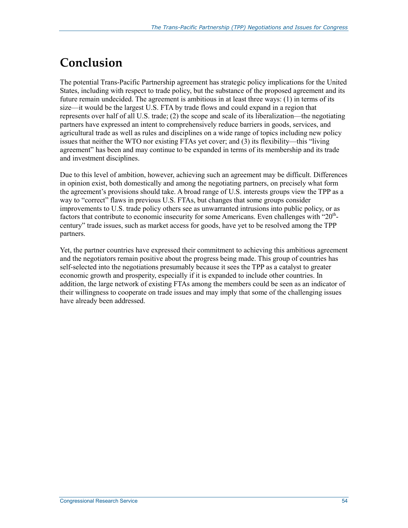# **Conclusion**

The potential Trans-Pacific Partnership agreement has strategic policy implications for the United States, including with respect to trade policy, but the substance of the proposed agreement and its future remain undecided. The agreement is ambitious in at least three ways: (1) in terms of its size—it would be the largest U.S. FTA by trade flows and could expand in a region that represents over half of all U.S. trade; (2) the scope and scale of its liberalization—the negotiating partners have expressed an intent to comprehensively reduce barriers in goods, services, and agricultural trade as well as rules and disciplines on a wide range of topics including new policy issues that neither the WTO nor existing FTAs yet cover; and (3) its flexibility—this "living agreement" has been and may continue to be expanded in terms of its membership and its trade and investment disciplines.

Due to this level of ambition, however, achieving such an agreement may be difficult. Differences in opinion exist, both domestically and among the negotiating partners, on precisely what form the agreement's provisions should take. A broad range of U.S. interests groups view the TPP as a way to "correct" flaws in previous U.S. FTAs, but changes that some groups consider improvements to U.S. trade policy others see as unwarranted intrusions into public policy, or as factors that contribute to economic insecurity for some Americans. Even challenges with " $20<sup>th</sup>$ century" trade issues, such as market access for goods, have yet to be resolved among the TPP partners.

Yet, the partner countries have expressed their commitment to achieving this ambitious agreement and the negotiators remain positive about the progress being made. This group of countries has self-selected into the negotiations presumably because it sees the TPP as a catalyst to greater economic growth and prosperity, especially if it is expanded to include other countries. In addition, the large network of existing FTAs among the members could be seen as an indicator of their willingness to cooperate on trade issues and may imply that some of the challenging issues have already been addressed.